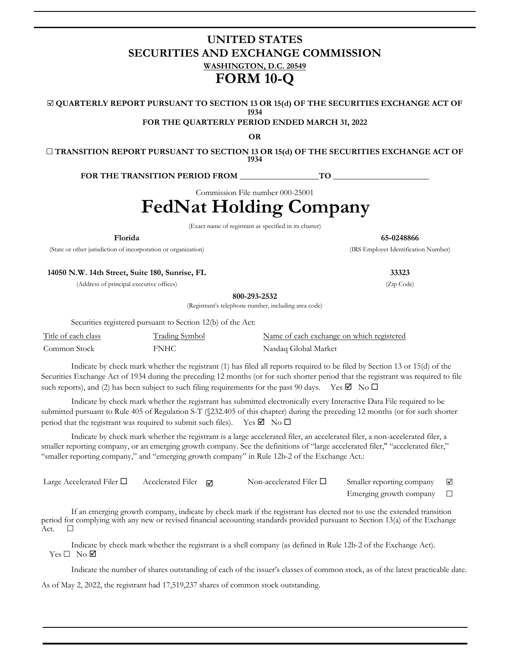# **UNITED STATES SECURITIES AND EXCHANGE COMMISSION WASHINGTON, D.C. 20549 FORM 10-Q**

☑ **QUARTERLY REPORT PURSUANT TO SECTION 13 OR 15(d) OF THE SECURITIES EXCHANGE ACT OF 1934**

**FOR THE QUARTERLY PERIOD ENDED MARCH 31, 2022**

**OR**

☐ **TRANSITION REPORT PURSUANT TO SECTION 13 OR 15(d) OF THE SECURITIES EXCHANGE ACT OF 1934**

FOR THE TRANSITION PERIOD FROM TO

Commission File number 000-25001

**FedNat Holding Company**

(Exact name of registrant as specified in its charter)

**Florida 65-0248866**

(State or other jurisdiction of incorporation or organization) (IRS Employer Identification Number)

**14050 N.W. 14th Street, Suite 180, Sunrise, FL 33323**

(Address of principal executive offices) (Zip Code)

**800-293-2532**

(Registrant's telephone number, including area code)

Securities registered pursuant to Section 12(b) of the Act:

| Title of each class | <b>Trading Symbol</b> | Name of each exchange on which registered |
|---------------------|-----------------------|-------------------------------------------|
| Common Stock        | FNHC                  | Nasdaq Global Market                      |

Indicate by check mark whether the registrant (1) has filed all reports required to be filed by Section 13 or 15(d) of the Securities Exchange Act of 1934 during the preceding 12 months (or for such shorter period that the registrant was required to file such reports), and (2) has been subject to such filing requirements for the past 90 days. Yes  $\Box$  No  $\Box$ 

Indicate by check mark whether the registrant has submitted electronically every Interactive Data File required to be submitted pursuant to Rule 405 of Regulation S-T (§232.405 of this chapter) during the preceding 12 months (or for such shorter period that the registrant was required to submit such files). Yes  $\boxtimes$  No  $\Box$ 

Indicate by check mark whether the registrant is a large accelerated filer, an accelerated filer, a non-accelerated filer, a smaller reporting company, or an emerging growth company. See the definitions of "large accelerated filer," "accelerated filer," "smaller reporting company," and "emerging growth company" in Rule 12b-2 of the Exchange Act.:

| Large Accelerated Filer $\Box$ | Accelerated Filer $\Box$ | Non-accelerated Filer $\Box$ | Smaller reporting company | $\overline{\phantom{a}}$ |
|--------------------------------|--------------------------|------------------------------|---------------------------|--------------------------|
|                                |                          |                              | Emerging growth company   |                          |

If an emerging growth company, indicate by check mark if the registrant has elected not to use the extended transition period for complying with any new or revised financial accounting standards provided pursuant to Section 13(a) of the Exchange Act.  $\Box$ 

Indicate by check mark whether the registrant is a shell company (as defined in Rule 12b-2 of the Exchange Act).  $Yes \Box No \nabla$ 

Indicate the number of shares outstanding of each of the issuer's classes of common stock, as of the latest practicable date. As of May 2, 2022, the registrant had 17,519,237 shares of common stock outstanding.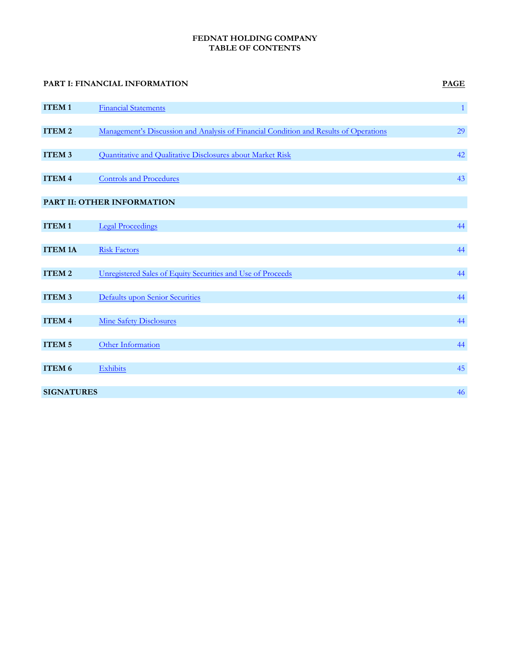# **FEDNAT HOLDING COMPANY TABLE OF CONTENTS**

|                   | PART I: FINANCIAL INFORMATION                                                         | <b>PAGE</b>  |
|-------------------|---------------------------------------------------------------------------------------|--------------|
| <b>ITEM1</b>      | <b>Financial Statements</b>                                                           | $\mathbf{1}$ |
|                   |                                                                                       |              |
| ITEM <sub>2</sub> | Management's Discussion and Analysis of Financial Condition and Results of Operations | 29           |
| ITEM <sub>3</sub> | Quantitative and Qualitative Disclosures about Market Risk                            | 42           |
|                   |                                                                                       |              |
| ITEM <sub>4</sub> | <b>Controls and Procedures</b>                                                        | 43           |
|                   |                                                                                       |              |
|                   | PART II: OTHER INFORMATION                                                            |              |
|                   |                                                                                       |              |
| ITEM <sub>1</sub> | <b>Legal Proceedings</b>                                                              | 44           |
|                   |                                                                                       |              |
| <b>ITEM 1A</b>    | <b>Risk Factors</b>                                                                   | 44           |
|                   |                                                                                       |              |
| ITEM <sub>2</sub> | Unregistered Sales of Equity Securities and Use of Proceeds                           | 44           |
|                   |                                                                                       |              |
| ITEM <sub>3</sub> | <b>Defaults upon Senior Securities</b>                                                | 44           |
|                   |                                                                                       |              |
| ITEM <sub>4</sub> | <b>Mine Safety Disclosures</b>                                                        | 44           |
|                   |                                                                                       |              |
| ITEM <sub>5</sub> | Other Information                                                                     | 44           |
|                   |                                                                                       |              |
| ITEM 6            | Exhibits                                                                              | 45           |
|                   |                                                                                       |              |
| <b>SIGNATURES</b> |                                                                                       | 46           |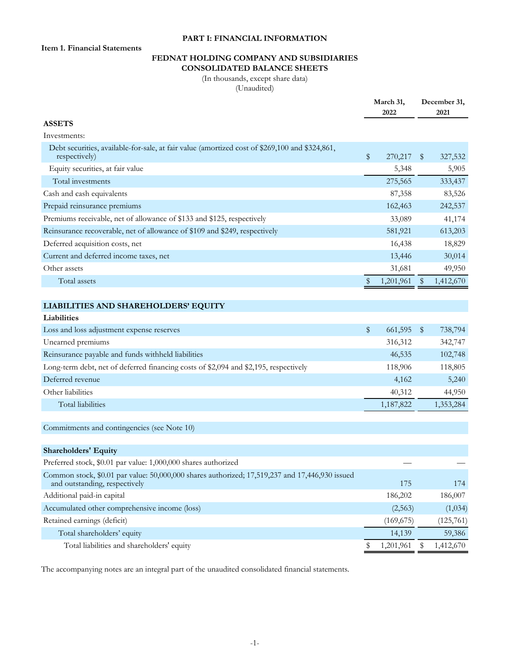# **PART I: FINANCIAL INFORMATION**

<span id="page-2-0"></span>**Item 1. Financial Statements**

# **FEDNAT HOLDING COMPANY AND SUBSIDIARIES CONSOLIDATED BALANCE SHEETS**

(In thousands, except share data) (Unaudited)

|                                                                                                                                 |              | March 31,<br>2022 |    | December 31,<br>2021 |
|---------------------------------------------------------------------------------------------------------------------------------|--------------|-------------------|----|----------------------|
| <b>ASSETS</b>                                                                                                                   |              |                   |    |                      |
| Investments:                                                                                                                    |              |                   |    |                      |
| Debt securities, available-for-sale, at fair value (amortized cost of \$269,100 and \$324,861,<br>respectively)                 | \$           | 270,217           | \$ | 327,532              |
| Equity securities, at fair value                                                                                                |              | 5,348             |    | 5,905                |
| Total investments                                                                                                               |              | 275,565           |    | 333,437              |
| Cash and cash equivalents                                                                                                       |              | 87,358            |    | 83,526               |
| Prepaid reinsurance premiums                                                                                                    |              | 162,463           |    | 242,537              |
| Premiums receivable, net of allowance of \$133 and \$125, respectively                                                          |              | 33,089            |    | 41,174               |
| Reinsurance recoverable, net of allowance of \$109 and \$249, respectively                                                      |              | 581,921           |    | 613,203              |
| Deferred acquisition costs, net                                                                                                 |              | 16,438            |    | 18,829               |
| Current and deferred income taxes, net                                                                                          |              | 13,446            |    | 30,014               |
| Other assets                                                                                                                    |              | 31,681            |    | 49,950               |
| Total assets                                                                                                                    | \$           | 1,201,961         | \$ | 1,412,670            |
|                                                                                                                                 |              |                   |    |                      |
| LIABILITIES AND SHAREHOLDERS' EQUITY                                                                                            |              |                   |    |                      |
| <b>Liabilities</b>                                                                                                              |              |                   |    |                      |
| Loss and loss adjustment expense reserves                                                                                       | $\mathbb{S}$ | 661,595           | \$ | 738,794              |
| Unearned premiums                                                                                                               |              | 316,312           |    | 342,747              |
| Reinsurance payable and funds withheld liabilities                                                                              |              | 46,535            |    | 102,748              |
| Long-term debt, net of deferred financing costs of \$2,094 and \$2,195, respectively                                            |              | 118,906           |    | 118,805              |
| Deferred revenue                                                                                                                |              | 4,162             |    | 5,240                |
| Other liabilities                                                                                                               |              | 40,312            |    | 44,950               |
| Total liabilities                                                                                                               |              | 1,187,822         |    | 1,353,284            |
| Commitments and contingencies (see Note 10)                                                                                     |              |                   |    |                      |
| <b>Shareholders' Equity</b>                                                                                                     |              |                   |    |                      |
| Preferred stock, \$0.01 par value: 1,000,000 shares authorized                                                                  |              |                   |    |                      |
| Common stock, \$0.01 par value: 50,000,000 shares authorized; 17,519,237 and 17,446,930 issued<br>and outstanding, respectively |              | 175               |    | 174                  |
| Additional paid-in capital                                                                                                      |              | 186,202           |    | 186,007              |
| Accumulated other comprehensive income (loss)                                                                                   |              | (2,563)           |    | (1,034)              |
| Retained earnings (deficit)                                                                                                     |              | (169, 675)        |    | (125,761)            |
| Total shareholders' equity                                                                                                      |              | 14,139            |    | 59,386               |
| Total liabilities and shareholders' equity                                                                                      |              | 1,201,961         | Ş  | 1,412,670            |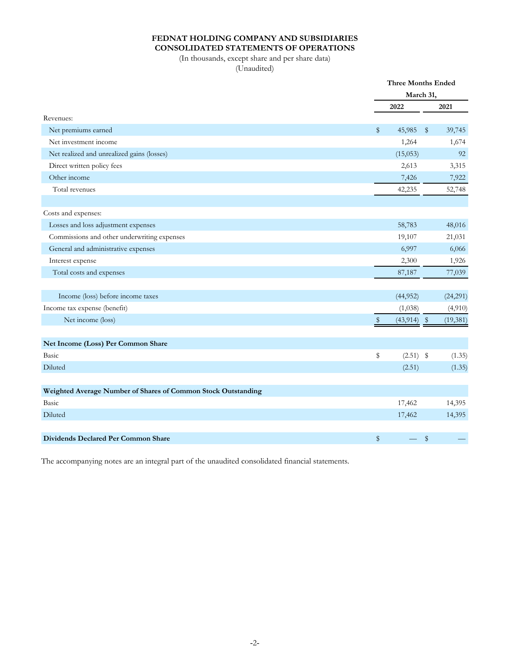# **FEDNAT HOLDING COMPANY AND SUBSIDIARIES CONSOLIDATED STATEMENTS OF OPERATIONS**

(In thousands, except share and per share data) (Unaudited)

|                                                               |    | <b>Three Months Ended</b><br>March 31, |               |           |  |
|---------------------------------------------------------------|----|----------------------------------------|---------------|-----------|--|
|                                                               |    |                                        |               |           |  |
|                                                               |    | 2022                                   |               | 2021      |  |
| Revenues:                                                     |    |                                        |               |           |  |
| Net premiums earned                                           | \$ | 45,985                                 | $\frac{1}{2}$ | 39,745    |  |
| Net investment income                                         |    | 1,264                                  |               | 1,674     |  |
| Net realized and unrealized gains (losses)                    |    | (15,053)                               |               | 92        |  |
| Direct written policy fees                                    |    | 2,613                                  |               | 3,315     |  |
| Other income                                                  |    | 7,426                                  |               | 7,922     |  |
| Total revenues                                                |    | 42,235                                 |               | 52,748    |  |
|                                                               |    |                                        |               |           |  |
| Costs and expenses:                                           |    |                                        |               |           |  |
| Losses and loss adjustment expenses                           |    | 58,783                                 |               | 48,016    |  |
| Commissions and other underwriting expenses                   |    | 19,107                                 |               | 21,031    |  |
| General and administrative expenses                           |    | 6,997                                  |               | 6,066     |  |
| Interest expense                                              |    | 2,300                                  |               | 1,926     |  |
| Total costs and expenses                                      |    | 87,187                                 |               | 77,039    |  |
|                                                               |    |                                        |               |           |  |
| Income (loss) before income taxes                             |    | (44, 952)                              |               | (24,291)  |  |
| Income tax expense (benefit)                                  |    | (1,038)                                |               | (4,910)   |  |
| Net income (loss)                                             | \$ | $(43,914)$ \$                          |               | (19, 381) |  |
|                                                               |    |                                        |               |           |  |
| Net Income (Loss) Per Common Share                            |    |                                        |               |           |  |
| Basic                                                         | \$ | $(2.51)$ \$                            |               | (1.35)    |  |
| Diluted                                                       |    | (2.51)                                 |               | (1.35)    |  |
|                                                               |    |                                        |               |           |  |
| Weighted Average Number of Shares of Common Stock Outstanding |    |                                        |               |           |  |
| Basic                                                         |    | 17,462                                 |               | 14,395    |  |
| Diluted                                                       |    | 17,462                                 |               | 14,395    |  |
|                                                               |    |                                        |               |           |  |
| Dividends Declared Per Common Share                           | \$ |                                        | $\,$          |           |  |
|                                                               |    |                                        |               |           |  |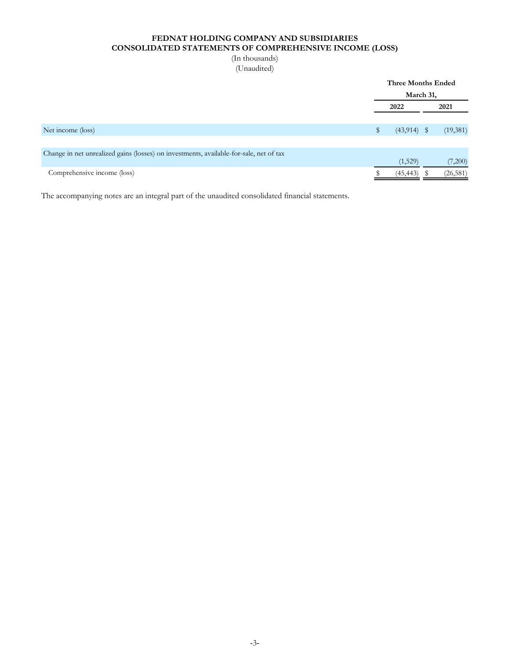# **FEDNAT HOLDING COMPANY AND SUBSIDIARIES CONSOLIDATED STATEMENTS OF COMPREHENSIVE INCOME (LOSS)**

# (In thousands) (Unaudited)

|                                                                                        | <b>Three Months Ended</b> |  |           |  |  |  |
|----------------------------------------------------------------------------------------|---------------------------|--|-----------|--|--|--|
|                                                                                        | March 31,                 |  |           |  |  |  |
|                                                                                        | 2022                      |  | 2021      |  |  |  |
|                                                                                        |                           |  |           |  |  |  |
| Net income (loss)                                                                      | $(43,914)$ \$             |  | (19,381)  |  |  |  |
|                                                                                        |                           |  |           |  |  |  |
| Change in net unrealized gains (losses) on investments, available-for-sale, net of tax |                           |  |           |  |  |  |
|                                                                                        | (1,529)                   |  | (7,200)   |  |  |  |
| Comprehensive income (loss)                                                            | (45, 443)                 |  | (26, 581) |  |  |  |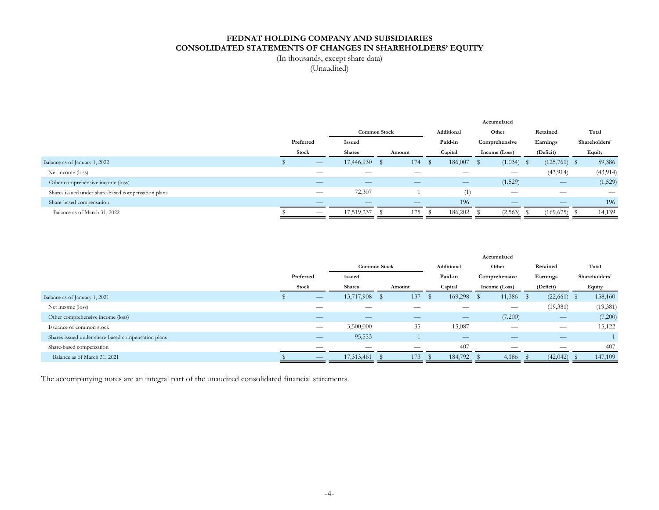# **FEDNAT HOLDING COMPANY AND SUBSIDIARIES CONSOLIDATED STATEMENTS OF CHANGES IN SHAREHOLDERS' EQUITY**

(In thousands, except share data)

(Unaudited)

|                                                    |  |           |                               |  |     | Accumulated |                          |               |              |           |                          |               |                               |
|----------------------------------------------------|--|-----------|-------------------------------|--|-----|-------------|--------------------------|---------------|--------------|-----------|--------------------------|---------------|-------------------------------|
|                                                    |  |           | <b>Common Stock</b>           |  |     | Additional  |                          | Other         |              | Retained  |                          | Total         |                               |
|                                                    |  | Preferred | Issued                        |  |     | Paid-in     |                          | Comprehensive |              | Earnings  |                          | Shareholders' |                               |
|                                                    |  | Stock     | <b>Shares</b><br>Amount       |  |     | Capital     |                          | Income (Loss) |              | (Deficit) |                          | Equity        |                               |
| Balance as of January 1, 2022                      |  |           | 17,446,930                    |  | 174 | S           | 186,007                  |               | $(1,034)$ \$ |           | $(125,761)$ \$           |               | 59,386                        |
| Net income (loss)                                  |  |           | __                            |  |     |             |                          |               |              |           | (43, 914)                |               | (43, 914)                     |
| Other comprehensive income (loss)                  |  | —         | $\overbrace{\phantom{aaaaa}}$ |  |     |             | $\overline{\phantom{m}}$ |               | (1,529)      |           | $\overline{\phantom{a}}$ |               | (1,529)                       |
| Shares issued under share-based compensation plans |  |           | 72,307                        |  |     |             | (1)                      |               |              |           | __                       |               | $\overbrace{\phantom{aaaaa}}$ |
| Share-based compensation                           |  |           |                               |  |     |             | 196                      |               |              |           | _                        |               | 196                           |
| Balance as of March 31, 2022                       |  |           | 17,519,237                    |  | 175 |             | 186,202                  |               | (2,563)      |           | (169, 675)               |               | 14,139                        |

|                                                    |  |                          |               |  |        | Accumulated |                          |       |                                 |          |               |  |               |
|----------------------------------------------------|--|--------------------------|---------------|--|--------|-------------|--------------------------|-------|---------------------------------|----------|---------------|--|---------------|
|                                                    |  |                          | Common Stock  |  |        | Additional  |                          | Other |                                 | Retained |               |  | Total         |
|                                                    |  | Preferred                | Issued        |  |        |             | Paid-in                  |       | Comprehensive                   |          | Earnings      |  | Shareholders' |
|                                                    |  | Stock                    | <b>Shares</b> |  | Amount |             | Capital                  |       | Income (Loss)                   |          | (Deficit)     |  | Equity        |
| Balance as of January 1, 2021                      |  | $\overline{\phantom{m}}$ | 13,717,908    |  | 137    | -S          | 169,298                  |       | 11,386                          | - S      | $(22,661)$ \$ |  | 158,160       |
| Net income (loss)                                  |  | __                       |               |  |        |             |                          |       | $\hspace{0.1mm}-\hspace{0.1mm}$ |          | (19,381)      |  | (19, 381)     |
| Other comprehensive income (loss)                  |  | —                        | _             |  |        |             | $\overline{\phantom{m}}$ |       | (7,200)                         |          |               |  | (7,200)       |
| Issuance of common stock                           |  | $\hspace{0.05cm}$        | 3,500,000     |  | 35     |             | 15,087                   |       | $\hspace{0.1mm}-\hspace{0.1mm}$ |          |               |  | 15,122        |
| Shares issued under share-based compensation plans |  | $\overline{\phantom{m}}$ | 95,553        |  |        |             |                          |       |                                 |          | _             |  |               |
| Share-based compensation                           |  |                          |               |  |        |             | 407                      |       |                                 |          |               |  | 407           |
| Balance as of March 31, 2021                       |  |                          | 17,313,461    |  | 173    |             | 184,792                  |       | 4,186                           |          | (42, 042)     |  | 147,109       |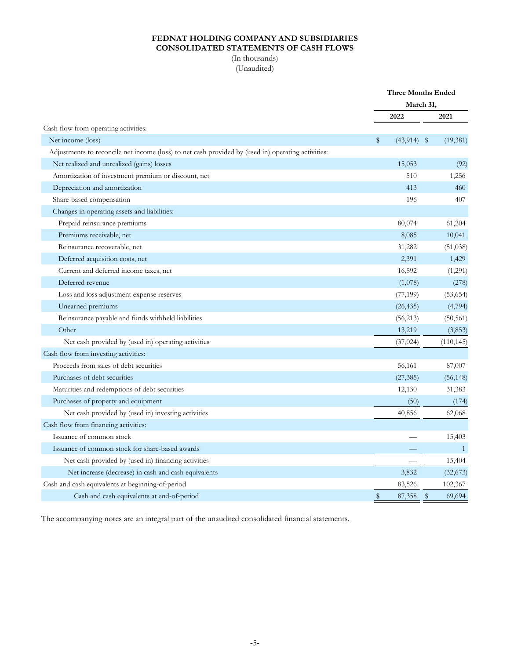# **FEDNAT HOLDING COMPANY AND SUBSIDIARIES CONSOLIDATED STATEMENTS OF CASH FLOWS**

(In thousands) (Unaudited)

|                                                                                                    |              | <b>Three Months Ended</b> |              |            |  |
|----------------------------------------------------------------------------------------------------|--------------|---------------------------|--------------|------------|--|
|                                                                                                    |              | March 31,                 |              |            |  |
|                                                                                                    |              | 2022                      |              | 2021       |  |
| Cash flow from operating activities:                                                               |              |                           |              |            |  |
| Net income (loss)                                                                                  | \$           | $(43,914)$ \$             |              | (19,381)   |  |
| Adjustments to reconcile net income (loss) to net cash provided by (used in) operating activities: |              |                           |              |            |  |
| Net realized and unrealized (gains) losses                                                         |              | 15,053                    |              | (92)       |  |
| Amortization of investment premium or discount, net                                                |              | 510                       |              | 1,256      |  |
| Depreciation and amortization                                                                      |              | 413                       |              | 460        |  |
| Share-based compensation                                                                           |              | 196                       |              | 407        |  |
| Changes in operating assets and liabilities:                                                       |              |                           |              |            |  |
| Prepaid reinsurance premiums                                                                       |              | 80,074                    |              | 61,204     |  |
| Premiums receivable, net                                                                           |              | 8,085                     |              | 10,041     |  |
| Reinsurance recoverable, net                                                                       |              | 31,282                    |              | (51,038)   |  |
| Deferred acquisition costs, net                                                                    |              | 2,391                     |              | 1,429      |  |
| Current and deferred income taxes, net                                                             |              | 16,592                    |              | (1,291)    |  |
| Deferred revenue                                                                                   |              | (1,078)                   |              | (278)      |  |
| Loss and loss adjustment expense reserves                                                          |              | (77, 199)                 |              | (53, 654)  |  |
| Unearned premiums                                                                                  |              | (26, 435)                 |              | (4,794)    |  |
| Reinsurance payable and funds withheld liabilities                                                 |              | (56, 213)                 |              | (50, 561)  |  |
| Other                                                                                              |              | 13,219                    |              | (3,853)    |  |
| Net cash provided by (used in) operating activities                                                |              | (37, 024)                 |              | (110, 145) |  |
| Cash flow from investing activities:                                                               |              |                           |              |            |  |
| Proceeds from sales of debt securities                                                             |              | 56,161                    |              | 87,007     |  |
| Purchases of debt securities                                                                       |              | (27, 385)                 |              | (56, 148)  |  |
| Maturities and redemptions of debt securities                                                      |              | 12,130                    |              | 31,383     |  |
| Purchases of property and equipment                                                                |              | (50)                      |              | (174)      |  |
| Net cash provided by (used in) investing activities                                                |              | 40,856                    |              | 62,068     |  |
| Cash flow from financing activities:                                                               |              |                           |              |            |  |
| Issuance of common stock                                                                           |              |                           |              | 15,403     |  |
| Issuance of common stock for share-based awards                                                    |              |                           |              | 1          |  |
| Net cash provided by (used in) financing activities                                                |              |                           |              | 15,404     |  |
| Net increase (decrease) in cash and cash equivalents                                               |              | 3,832                     |              | (32, 673)  |  |
| Cash and cash equivalents at beginning-of-period                                                   |              | 83,526                    |              | 102,367    |  |
| Cash and cash equivalents at end-of-period                                                         | $\mathbb{S}$ | 87,358                    | $\mathbb{S}$ | 69,694     |  |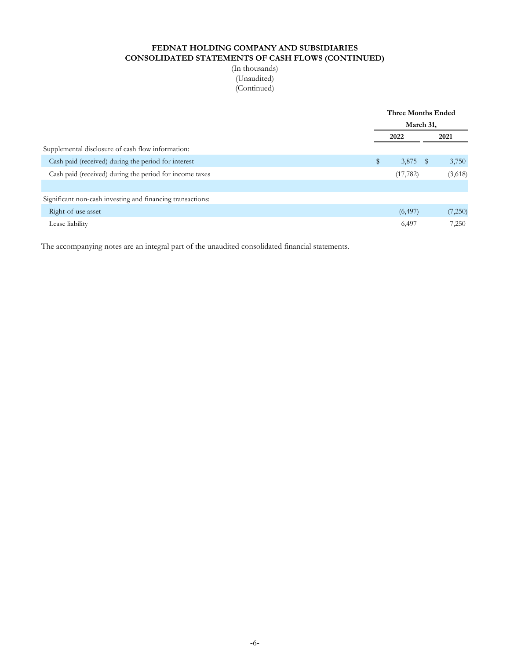# **FEDNAT HOLDING COMPANY AND SUBSIDIARIES CONSOLIDATED STATEMENTS OF CASH FLOWS (CONTINUED)**

(In thousands) (Unaudited) (Continued)

|                                                            | <b>Three Months Ended</b> |           |      |         |  |
|------------------------------------------------------------|---------------------------|-----------|------|---------|--|
|                                                            | March 31,                 |           |      |         |  |
|                                                            | 2022                      |           |      | 2021    |  |
| Supplemental disclosure of cash flow information:          |                           |           |      |         |  |
| Cash paid (received) during the period for interest        | \$                        | 3,875     | - \$ | 3,750   |  |
| Cash paid (received) during the period for income taxes    |                           | (17, 782) |      | (3,618) |  |
|                                                            |                           |           |      |         |  |
| Significant non-cash investing and financing transactions: |                           |           |      |         |  |
| Right-of-use asset                                         |                           | (6, 497)  |      | (7,250) |  |
| Lease liability                                            |                           | 6,497     |      | 7,250   |  |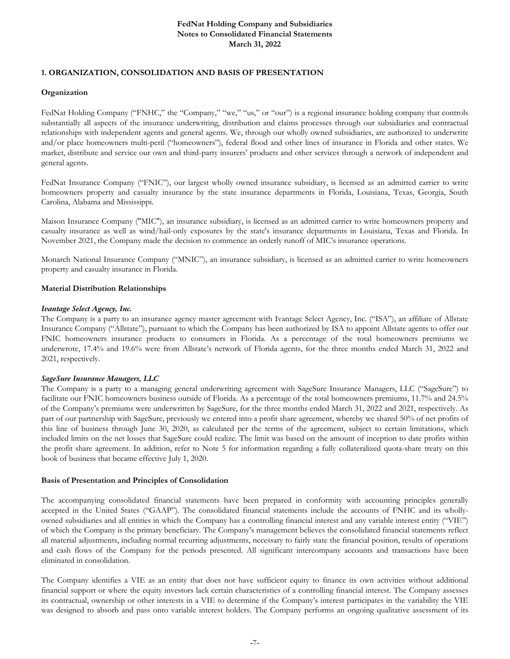# **1. ORGANIZATION, CONSOLIDATION AND BASIS OF PRESENTATION**

#### **Organization**

FedNat Holding Company ("FNHC," the "Company," "we," "us," or "our") is a regional insurance holding company that controls substantially all aspects of the insurance underwriting, distribution and claims processes through our subsidiaries and contractual relationships with independent agents and general agents. We, through our wholly owned subsidiaries, are authorized to underwrite and/or place homeowners multi-peril ("homeowners"), federal flood and other lines of insurance in Florida and other states. We market, distribute and service our own and third-party insurers' products and other services through a network of independent and general agents.

FedNat Insurance Company ("FNIC"), our largest wholly owned insurance subsidiary, is licensed as an admitted carrier to write homeowners property and casualty insurance by the state insurance departments in Florida, Louisiana, Texas, Georgia, South Carolina, Alabama and Mississippi.

Maison Insurance Company ("MIC"), an insurance subsidiary, is licensed as an admitted carrier to write homeowners property and casualty insurance as well as wind/hail-only exposures by the state's insurance departments in Louisiana, Texas and Florida. In November 2021, the Company made the decision to commence an orderly runoff of MIC's insurance operations.

Monarch National Insurance Company ("MNIC"), an insurance subsidiary, is licensed as an admitted carrier to write homeowners property and casualty insurance in Florida.

### **Material Distribution Relationships**

#### *Ivantage Select Agency, Inc.*

The Company is a party to an insurance agency master agreement with Ivantage Select Agency, Inc. ("ISA"), an affiliate of Allstate Insurance Company ("Allstate"), pursuant to which the Company has been authorized by ISA to appoint Allstate agents to offer our FNIC homeowners insurance products to consumers in Florida. As a percentage of the total homeowners premiums we underwrote, 17.4% and 19.6% were from Allstate's network of Florida agents, for the three months ended March 31, 2022 and 2021, respectively.

#### *SageSure Insurance Managers, LLC*

The Company is a party to a managing general underwriting agreement with SageSure Insurance Managers, LLC ("SageSure") to facilitate our FNIC homeowners business outside of Florida. As a percentage of the total homeowners premiums, 11.7% and 24.5% of the Company's premiums were underwritten by SageSure, for the three months ended March 31, 2022 and 2021, respectively. As part of our partnership with SageSure, previously we entered into a profit share agreement, whereby we shared 50% of net profits of this line of business through June 30, 2020, as calculated per the terms of the agreement, subject to certain limitations, which included limits on the net losses that SageSure could realize. The limit was based on the amount of inception to date profits within the profit share agreement. In addition, refer to Note 5 for information regarding a fully collateralized quota-share treaty on this book of business that became effective July 1, 2020.

#### **Basis of Presentation and Principles of Consolidation**

The accompanying consolidated financial statements have been prepared in conformity with accounting principles generally accepted in the United States ("GAAP"). The consolidated financial statements include the accounts of FNHC and its whollyowned subsidiaries and all entities in which the Company has a controlling financial interest and any variable interest entity ("VIE") of which the Company is the primary beneficiary. The Company's management believes the consolidated financial statements reflect all material adjustments, including normal recurring adjustments, necessary to fairly state the financial position, results of operations and cash flows of the Company for the periods presented. All significant intercompany accounts and transactions have been eliminated in consolidation.

The Company identifies a VIE as an entity that does not have sufficient equity to finance its own activities without additional financial support or where the equity investors lack certain characteristics of a controlling financial interest. The Company assesses its contractual, ownership or other interests in a VIE to determine if the Company's interest participates in the variability the VIE was designed to absorb and pass onto variable interest holders. The Company performs an ongoing qualitative assessment of its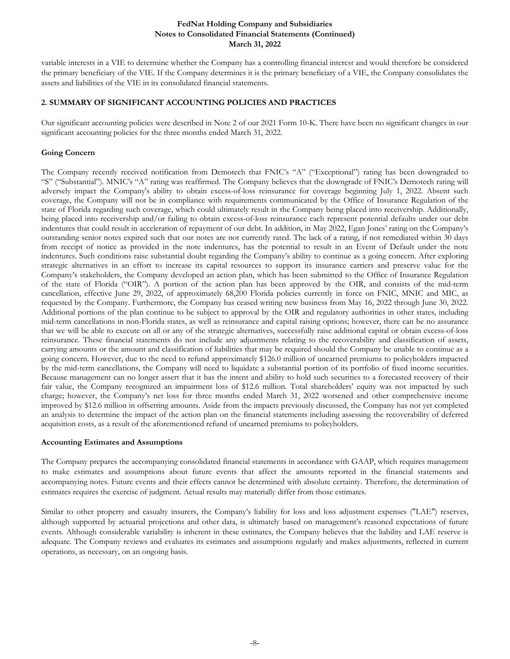variable interests in a VIE to determine whether the Company has a controlling financial interest and would therefore be considered the primary beneficiary of the VIE. If the Company determines it is the primary beneficiary of a VIE, the Company consolidates the assets and liabilities of the VIE in its consolidated financial statements.

# **2. SUMMARY OF SIGNIFICANT ACCOUNTING POLICIES AND PRACTICES**

Our significant accounting policies were described in Note 2 of our 2021 Form 10-K. There have been no significant changes in our significant accounting policies for the three months ended March 31, 2022.

# **Going Concern**

The Company recently received notification from Demotech that FNIC's "A" ("Exceptional") rating has been downgraded to "S" ("Substantial"). MNIC's "A" rating was reaffirmed. The Company believes that the downgrade of FNIC's Demotech rating will adversely impact the Company's ability to obtain excess-of-loss reinsurance for coverage beginning July 1, 2022. Absent such coverage, the Company will not be in compliance with requirements communicated by the Office of Insurance Regulation of the state of Florida regarding such coverage, which could ultimately result in the Company being placed into receivership. Additionally, being placed into receivership and/or failing to obtain excess-of-loss reinsurance each represent potential defaults under our debt indentures that could result in acceleration of repayment of our debt. In addition, in May 2022, Egan Jones' rating on the Company's outstanding senior notes expired such that our notes are not currently rated. The lack of a rating, if not remediated within 30 days from receipt of notice as provided in the note indentures, has the potential to result in an Event of Default under the note indentures. Such conditions raise substantial doubt regarding the Company's ability to continue as a going concern. After exploring strategic alternatives in an effort to increase its capital resources to support its insurance carriers and preserve value for the Company's stakeholders, the Company developed an action plan, which has been submitted to the Office of Insurance Regulation of the state of Florida ("OIR"). A portion of the action plan has been approved by the OIR, and consists of the mid-term cancellation, effective June 29, 2022, of approximately 68,200 Florida policies currently in force on FNIC, MNIC and MIC, as requested by the Company. Furthermore, the Company has ceased writing new business from May 16, 2022 through June 30, 2022. Additional portions of the plan continue to be subject to approval by the OIR and regulatory authorities in other states, including mid-term cancellations in non-Florida states, as well as reinsurance and capital raising options; however, there can be no assurance that we will be able to execute on all or any of the strategic alternatives, successfully raise additional capital or obtain excess-of-loss reinsurance. These financial statements do not include any adjustments relating to the recoverability and classification of assets, carrying amounts or the amount and classification of liabilities that may be required should the Company be unable to continue as a going concern. However, due to the need to refund approximately \$126.0 million of unearned premiums to policyholders impacted by the mid-term cancellations, the Company will need to liquidate a substantial portion of its portfolio of fixed income securities. Because management can no longer assert that it has the intent and ability to hold such securities to a forecasted recovery of their fair value, the Company recognized an impairment loss of \$12.6 million. Total shareholders' equity was not impacted by such charge; however, the Company's net loss for three months ended March 31, 2022 worsened and other comprehensive income improved by \$12.6 million in offsetting amounts. Aside from the impacts previously discussed, the Company has not yet completed an analysis to determine the impact of the action plan on the financial statements including assessing the recoverability of deferred acquisition costs, as a result of the aforementioned refund of unearned premiums to policyholders.

# **Accounting Estimates and Assumptions**

The Company prepares the accompanying consolidated financial statements in accordance with GAAP, which requires management to make estimates and assumptions about future events that affect the amounts reported in the financial statements and accompanying notes. Future events and their effects cannot be determined with absolute certainty. Therefore, the determination of estimates requires the exercise of judgment. Actual results may materially differ from those estimates.

Similar to other property and casualty insurers, the Company's liability for loss and loss adjustment expenses ("LAE") reserves, although supported by actuarial projections and other data, is ultimately based on management's reasoned expectations of future events. Although considerable variability is inherent in these estimates, the Company believes that the liability and LAE reserve is adequate. The Company reviews and evaluates its estimates and assumptions regularly and makes adjustments, reflected in current operations, as necessary, on an ongoing basis.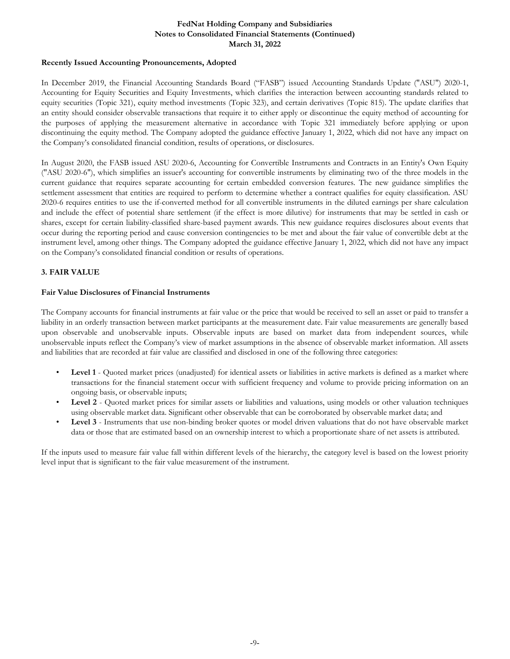## **Recently Issued Accounting Pronouncements, Adopted**

In December 2019, the Financial Accounting Standards Board ("FASB") issued Accounting Standards Update ("ASU") 2020-1, Accounting for Equity Securities and Equity Investments, which clarifies the interaction between accounting standards related to equity securities (Topic 321), equity method investments (Topic 323), and certain derivatives (Topic 815). The update clarifies that an entity should consider observable transactions that require it to either apply or discontinue the equity method of accounting for the purposes of applying the measurement alternative in accordance with Topic 321 immediately before applying or upon discontinuing the equity method. The Company adopted the guidance effective January 1, 2022, which did not have any impact on the Company's consolidated financial condition, results of operations, or disclosures.

In August 2020, the FASB issued ASU 2020-6, Accounting for Convertible Instruments and Contracts in an Entity's Own Equity ("ASU 2020-6"), which simplifies an issuer's accounting for convertible instruments by eliminating two of the three models in the current guidance that requires separate accounting for certain embedded conversion features. The new guidance simplifies the settlement assessment that entities are required to perform to determine whether a contract qualifies for equity classification. ASU 2020-6 requires entities to use the if-converted method for all convertible instruments in the diluted earnings per share calculation and include the effect of potential share settlement (if the effect is more dilutive) for instruments that may be settled in cash or shares, except for certain liability-classified share-based payment awards. This new guidance requires disclosures about events that occur during the reporting period and cause conversion contingencies to be met and about the fair value of convertible debt at the instrument level, among other things. The Company adopted the guidance effective January 1, 2022, which did not have any impact on the Company's consolidated financial condition or results of operations.

# **3. FAIR VALUE**

# **Fair Value Disclosures of Financial Instruments**

The Company accounts for financial instruments at fair value or the price that would be received to sell an asset or paid to transfer a liability in an orderly transaction between market participants at the measurement date. Fair value measurements are generally based upon observable and unobservable inputs. Observable inputs are based on market data from independent sources, while unobservable inputs reflect the Company's view of market assumptions in the absence of observable market information. All assets and liabilities that are recorded at fair value are classified and disclosed in one of the following three categories:

- Level 1 Quoted market prices (unadjusted) for identical assets or liabilities in active markets is defined as a market where transactions for the financial statement occur with sufficient frequency and volume to provide pricing information on an ongoing basis, or observable inputs;
- **Level 2** Quoted market prices for similar assets or liabilities and valuations, using models or other valuation techniques using observable market data. Significant other observable that can be corroborated by observable market data; and
- **Level 3** Instruments that use non-binding broker quotes or model driven valuations that do not have observable market data or those that are estimated based on an ownership interest to which a proportionate share of net assets is attributed.

If the inputs used to measure fair value fall within different levels of the hierarchy, the category level is based on the lowest priority level input that is significant to the fair value measurement of the instrument.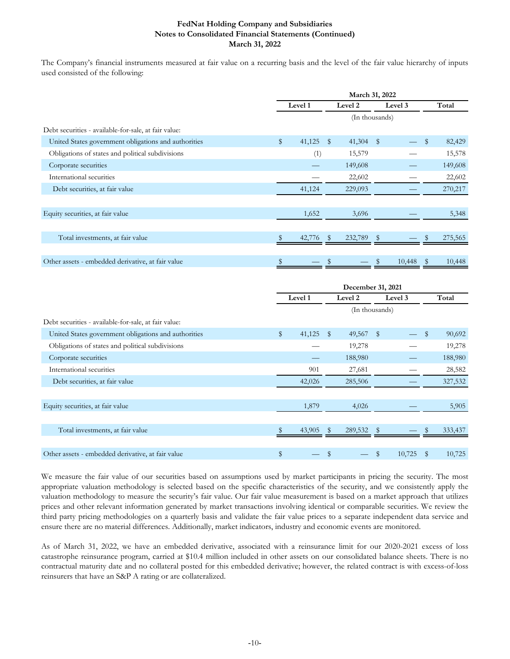The Company's financial instruments measured at fair value on a recurring basis and the level of the fair value hierarchy of inputs used consisted of the following:

|                                                      |              |              | March 31, 2022 |      |         |              |
|------------------------------------------------------|--------------|--------------|----------------|------|---------|--------------|
|                                                      | Level 1      |              | Level 2        |      | Level 3 | Total        |
|                                                      |              |              | (In thousands) |      |         |              |
| Debt securities - available-for-sale, at fair value: |              |              |                |      |         |              |
| United States government obligations and authorities | \$<br>41,125 | $\mathbb{S}$ | 41,304         | - \$ |         | \$<br>82,429 |
| Obligations of states and political subdivisions     | (1)          |              | 15,579         |      |         | 15,578       |
| Corporate securities                                 |              |              | 149,608        |      |         | 149,608      |
| International securities                             |              |              | 22,602         |      |         | 22,602       |
| Debt securities, at fair value                       | 41,124       |              | 229,093        |      |         | 270,217      |
|                                                      |              |              |                |      |         |              |
| Equity securities, at fair value                     | 1,652        |              | 3,696          |      |         | 5,348        |
|                                                      |              |              |                |      |         |              |
| Total investments, at fair value                     | 42,776       | S            | 232,789        |      |         | 275,565      |
|                                                      |              |              |                |      |         |              |
| Other assets - embedded derivative, at fair value    | \$           | \$           |                | \$   | 10,448  | \$<br>10,448 |

|                                                      | December 31, 2021 |        |              |                |              |         |              |         |  |  |
|------------------------------------------------------|-------------------|--------|--------------|----------------|--------------|---------|--------------|---------|--|--|
|                                                      | Level 1           |        |              | Level 2        |              | Level 3 |              | Total   |  |  |
|                                                      |                   |        |              | (In thousands) |              |         |              |         |  |  |
| Debt securities - available-for-sale, at fair value: |                   |        |              |                |              |         |              |         |  |  |
| United States government obligations and authorities | \$                | 41,125 | $\mathbb{S}$ | 49,567         | $\sqrt{S}$   |         | \$           | 90,692  |  |  |
| Obligations of states and political subdivisions     |                   |        |              | 19,278         |              |         |              | 19,278  |  |  |
| Corporate securities                                 |                   |        |              | 188,980        |              |         |              | 188,980 |  |  |
| International securities                             |                   | 901    |              | 27,681         |              |         |              | 28,582  |  |  |
| Debt securities, at fair value                       |                   | 42,026 |              | 285,506        |              |         |              | 327,532 |  |  |
|                                                      |                   |        |              |                |              |         |              |         |  |  |
| Equity securities, at fair value                     |                   | 1,879  |              | 4,026          |              |         |              | 5,905   |  |  |
|                                                      |                   |        |              |                |              |         |              |         |  |  |
| Total investments, at fair value                     |                   | 43,905 |              | 289,532        |              |         |              | 333,437 |  |  |
|                                                      |                   |        |              |                |              |         |              |         |  |  |
| Other assets - embedded derivative, at fair value    | \$                |        | \$           |                | $\mathbb{S}$ | 10,725  | $\mathbb{S}$ | 10,725  |  |  |

We measure the fair value of our securities based on assumptions used by market participants in pricing the security. The most appropriate valuation methodology is selected based on the specific characteristics of the security, and we consistently apply the valuation methodology to measure the security's fair value. Our fair value measurement is based on a market approach that utilizes prices and other relevant information generated by market transactions involving identical or comparable securities. We review the third party pricing methodologies on a quarterly basis and validate the fair value prices to a separate independent data service and ensure there are no material differences. Additionally, market indicators, industry and economic events are monitored.

As of March 31, 2022, we have an embedded derivative, associated with a reinsurance limit for our 2020-2021 excess of loss catastrophe reinsurance program, carried at \$10.4 million included in other assets on our consolidated balance sheets. There is no contractual maturity date and no collateral posted for this embedded derivative; however, the related contract is with excess-of-loss reinsurers that have an S&P A rating or are collateralized.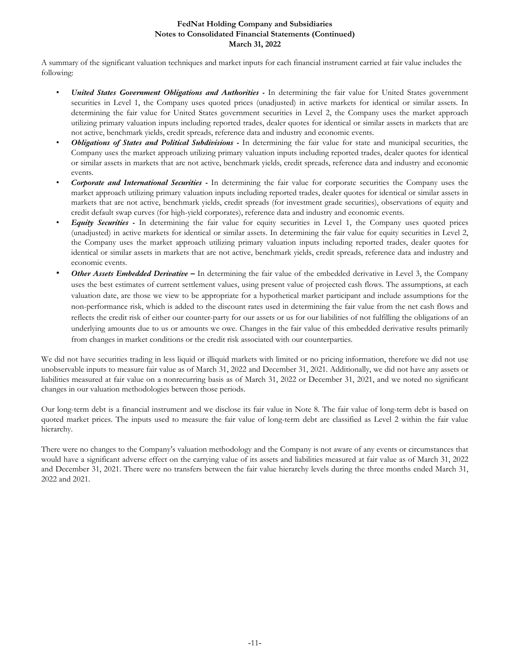A summary of the significant valuation techniques and market inputs for each financial instrument carried at fair value includes the following:

- *United States Government Obligations and Authorities -* In determining the fair value for United States government securities in Level 1, the Company uses quoted prices (unadjusted) in active markets for identical or similar assets. In determining the fair value for United States government securities in Level 2, the Company uses the market approach utilizing primary valuation inputs including reported trades, dealer quotes for identical or similar assets in markets that are not active, benchmark yields, credit spreads, reference data and industry and economic events.
- *Obligations of States and Political Subdivisions -* In determining the fair value for state and municipal securities, the Company uses the market approach utilizing primary valuation inputs including reported trades, dealer quotes for identical or similar assets in markets that are not active, benchmark yields, credit spreads, reference data and industry and economic events.
- *Corporate and International Securities -* In determining the fair value for corporate securities the Company uses the market approach utilizing primary valuation inputs including reported trades, dealer quotes for identical or similar assets in markets that are not active, benchmark yields, credit spreads (for investment grade securities), observations of equity and credit default swap curves (for high-yield corporates), reference data and industry and economic events.
- *Equity Securities -* In determining the fair value for equity securities in Level 1, the Company uses quoted prices (unadjusted) in active markets for identical or similar assets. In determining the fair value for equity securities in Level 2, the Company uses the market approach utilizing primary valuation inputs including reported trades, dealer quotes for identical or similar assets in markets that are not active, benchmark yields, credit spreads, reference data and industry and economic events.
- *Other Assets Embedded Derivative –* In determining the fair value of the embedded derivative in Level 3, the Company uses the best estimates of current settlement values, using present value of projected cash flows. The assumptions, at each valuation date, are those we view to be appropriate for a hypothetical market participant and include assumptions for the non-performance risk, which is added to the discount rates used in determining the fair value from the net cash flows and reflects the credit risk of either our counter-party for our assets or us for our liabilities of not fulfilling the obligations of an underlying amounts due to us or amounts we owe. Changes in the fair value of this embedded derivative results primarily from changes in market conditions or the credit risk associated with our counterparties.

We did not have securities trading in less liquid or illiquid markets with limited or no pricing information, therefore we did not use unobservable inputs to measure fair value as of March 31, 2022 and December 31, 2021. Additionally, we did not have any assets or liabilities measured at fair value on a nonrecurring basis as of March 31, 2022 or December 31, 2021, and we noted no significant changes in our valuation methodologies between those periods.

Our long-term debt is a financial instrument and we disclose its fair value in Note 8. The fair value of long-term debt is based on quoted market prices. The inputs used to measure the fair value of long-term debt are classified as Level 2 within the fair value hierarchy.

There were no changes to the Company's valuation methodology and the Company is not aware of any events or circumstances that would have a significant adverse effect on the carrying value of its assets and liabilities measured at fair value as of March 31, 2022 and December 31, 2021. There were no transfers between the fair value hierarchy levels during the three months ended March 31, 2022 and 2021.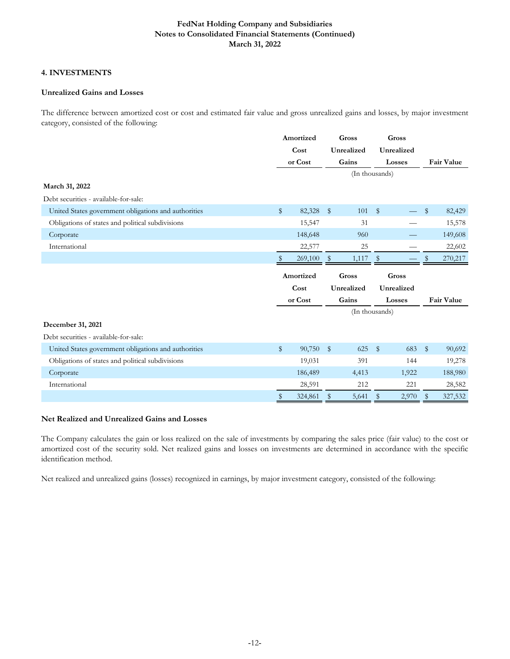# **4. INVESTMENTS**

# **Unrealized Gains and Losses**

The difference between amortized cost or cost and estimated fair value and gross unrealized gains and losses, by major investment category, consisted of the following:

|                                                      | Amortized<br>Cost |         | Gross                   |                |               | Gross      |              |            |
|------------------------------------------------------|-------------------|---------|-------------------------|----------------|---------------|------------|--------------|------------|
|                                                      |                   |         |                         | Unrealized     |               | Unrealized |              |            |
|                                                      |                   | or Cost |                         | Gains          | Losses        |            | Fair Value   |            |
|                                                      |                   |         |                         | (In thousands) |               |            |              |            |
| March 31, 2022                                       |                   |         |                         |                |               |            |              |            |
| Debt securities - available-for-sale:                |                   |         |                         |                |               |            |              |            |
| United States government obligations and authorities | $\mathbb{S}$      | 82,328  | $\sqrt[6]{\frac{1}{2}}$ | 101            | $\frac{1}{2}$ |            | \$           | 82,429     |
| Obligations of states and political subdivisions     |                   | 15,547  |                         | 31             |               |            |              | 15,578     |
| Corporate                                            |                   | 148,648 |                         | 960            |               |            |              | 149,608    |
| International                                        |                   | 22,577  |                         | 25             |               |            |              | 22,602     |
|                                                      |                   | 269,100 | $\mathbb{S}$            | 1,117          | $\mathbb{S}$  |            | S            | 270,217    |
|                                                      | Amortized         |         |                         |                |               |            |              |            |
|                                                      |                   |         |                         | Gross          |               | Gross      |              |            |
|                                                      |                   | Cost    |                         | Unrealized     |               | Unrealized |              |            |
|                                                      |                   | or Cost |                         | Gains          |               | Losses     |              | Fair Value |
|                                                      |                   |         |                         | (In thousands) |               |            |              |            |
| December 31, 2021                                    |                   |         |                         |                |               |            |              |            |
| Debt securities - available-for-sale:                |                   |         |                         |                |               |            |              |            |
| United States government obligations and authorities | $\mathbb{S}$      | 90,750  | $\mathbb{S}$            | 625            | $\mathbb{S}$  | 683        | $\mathbb{S}$ | 90,692     |
| Obligations of states and political subdivisions     |                   | 19,031  |                         | 391            |               | 144        |              | 19,278     |
| Corporate                                            |                   | 186,489 |                         | 4,413          |               | 1,922      |              | 188,980    |
| International                                        |                   | 28,591  |                         | 212            |               | 221        |              | 28,582     |

# **Net Realized and Unrealized Gains and Losses**

The Company calculates the gain or loss realized on the sale of investments by comparing the sales price (fair value) to the cost or amortized cost of the security sold. Net realized gains and losses on investments are determined in accordance with the specific identification method.

Net realized and unrealized gains (losses) recognized in earnings, by major investment category, consisted of the following: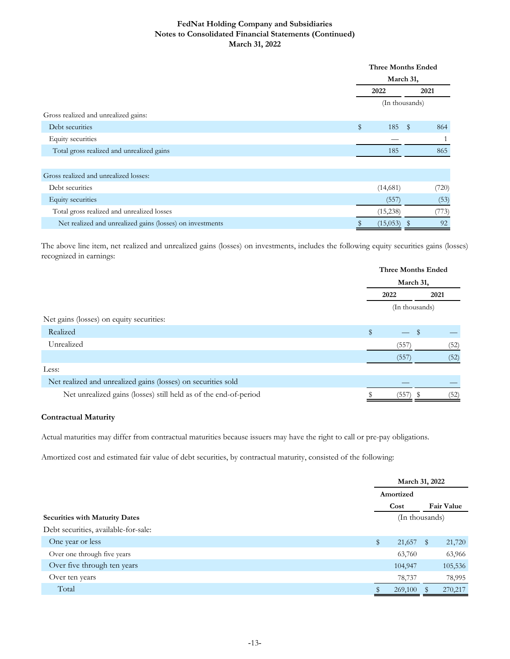|                                                           |      | <b>Three Months Ended</b> |       |  |  |  |  |
|-----------------------------------------------------------|------|---------------------------|-------|--|--|--|--|
|                                                           |      | March 31,                 |       |  |  |  |  |
|                                                           | 2022 |                           | 2021  |  |  |  |  |
|                                                           |      | (In thousands)            |       |  |  |  |  |
| Gross realized and unrealized gains:                      |      |                           |       |  |  |  |  |
| Debt securities                                           | \$   | 185<br>$\mathbb{S}$       | 864   |  |  |  |  |
| Equity securities                                         |      |                           |       |  |  |  |  |
| Total gross realized and unrealized gains                 |      | 185                       | 865   |  |  |  |  |
|                                                           |      |                           |       |  |  |  |  |
| Gross realized and unrealized losses:                     |      |                           |       |  |  |  |  |
| Debt securities                                           |      | (14,681)                  | (720) |  |  |  |  |
| Equity securities                                         |      | (557)                     | (53)  |  |  |  |  |
| Total gross realized and unrealized losses                |      | (15,238)                  | (773) |  |  |  |  |
| Net realized and unrealized gains (losses) on investments |      | (15,053)<br><sup>\$</sup> | 92    |  |  |  |  |

The above line item, net realized and unrealized gains (losses) on investments, includes the following equity securities gains (losses) recognized in earnings:

|                                                                  | <b>Three Months Ended</b> |                |      |      |  |
|------------------------------------------------------------------|---------------------------|----------------|------|------|--|
|                                                                  |                           | March 31,      |      |      |  |
|                                                                  |                           | 2022           | 2021 |      |  |
|                                                                  |                           | (In thousands) |      |      |  |
| Net gains (losses) on equity securities:                         |                           |                |      |      |  |
| Realized                                                         | $\mathbb{S}$              |                | \$   |      |  |
| Unrealized                                                       |                           | (557)          |      | (52) |  |
|                                                                  |                           | (557)          |      | (52) |  |
| Less:                                                            |                           |                |      |      |  |
| Net realized and unrealized gains (losses) on securities sold    |                           |                |      |      |  |
| Net unrealized gains (losses) still held as of the end-of-period |                           | (557)          |      | '52) |  |

# **Contractual Maturity**

Actual maturities may differ from contractual maturities because issuers may have the right to call or pre-pay obligations.

Amortized cost and estimated fair value of debt securities, by contractual maturity, consisted of the following:

|                                       |                | March 31, 2022 |   |                   |  |
|---------------------------------------|----------------|----------------|---|-------------------|--|
|                                       |                | Amortized      |   |                   |  |
|                                       |                | Cost           |   | <b>Fair Value</b> |  |
| <b>Securities with Maturity Dates</b> | (In thousands) |                |   |                   |  |
| Debt securities, available-for-sale:  |                |                |   |                   |  |
| One year or less                      | $\mathbb{S}$   | 21,657         | S | 21,720            |  |
| Over one through five years           |                | 63,760         |   | 63,966            |  |
| Over five through ten years           |                | 104,947        |   | 105,536           |  |
| Over ten years                        |                | 78,737         |   | 78,995            |  |
| Total                                 |                | 269,100        |   | 270,217           |  |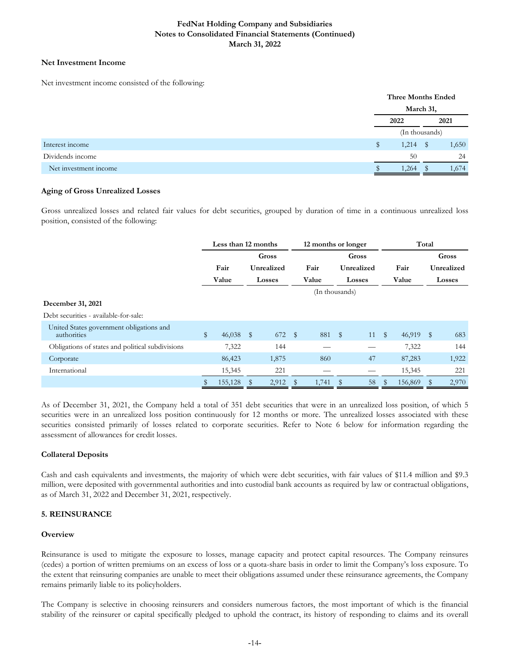# **Net Investment Income**

Net investment income consisted of the following:

|                       |  | <b>Three Months Ended</b> |   |       |  |  |
|-----------------------|--|---------------------------|---|-------|--|--|
|                       |  |                           |   |       |  |  |
|                       |  | 2022                      |   | 2021  |  |  |
|                       |  | (In thousands)            |   |       |  |  |
| Interest income       |  | 1,214                     | S | 1,650 |  |  |
| Dividends income      |  | 50                        |   | 24    |  |  |
| Net investment income |  | 1,264                     |   | 1,674 |  |  |

# **Aging of Gross Unrealized Losses**

Gross unrealized losses and related fair values for debt securities, grouped by duration of time in a continuous unrealized loss position, consisted of the following:

|                                                         | Less than 12 months |         |       | 12 months or longer |              |                |              | Total         |              |           |  |               |
|---------------------------------------------------------|---------------------|---------|-------|---------------------|--------------|----------------|--------------|---------------|--------------|-----------|--|---------------|
|                                                         |                     |         | Gross |                     |              |                | <b>Gross</b> |               |              |           |  | Gross         |
|                                                         |                     | Fair    |       | Unrealized          |              | Fair           |              | Unrealized    |              | Fair      |  | Unrealized    |
|                                                         |                     | Value   |       | <b>Losses</b>       |              | Value          |              | <b>Losses</b> |              | Value     |  | <b>Losses</b> |
|                                                         |                     |         |       |                     |              | (In thousands) |              |               |              |           |  |               |
| December 31, 2021                                       |                     |         |       |                     |              |                |              |               |              |           |  |               |
| Debt securities - available-for-sale:                   |                     |         |       |                     |              |                |              |               |              |           |  |               |
| United States government obligations and<br>authorities | \$                  | 46,038  | - \$  | 672                 | $\mathbb{S}$ | 881 \$         |              | 11            | $\mathbb{S}$ | 46,919 \$ |  | 683           |
| Obligations of states and political subdivisions        |                     | 7,322   |       | 144                 |              |                |              |               |              | 7,322     |  | 144           |
| Corporate                                               |                     | 86,423  |       | 1,875               |              | 860            |              | 47            |              | 87,283    |  | 1,922         |
| International                                           |                     | 15,345  |       | 221                 |              |                |              |               |              | 15,345    |  | 221           |
|                                                         |                     | 155,128 |       | 2,912               |              | 1,741          | S            | 58            |              | 156,869   |  | 2,970         |

As of December 31, 2021, the Company held a total of 351 debt securities that were in an unrealized loss position, of which 5 securities were in an unrealized loss position continuously for 12 months or more. The unrealized losses associated with these securities consisted primarily of losses related to corporate securities. Refer to Note 6 below for information regarding the assessment of allowances for credit losses.

# **Collateral Deposits**

Cash and cash equivalents and investments, the majority of which were debt securities, with fair values of \$11.4 million and \$9.3 million, were deposited with governmental authorities and into custodial bank accounts as required by law or contractual obligations, as of March 31, 2022 and December 31, 2021, respectively.

# **5. REINSURANCE**

# **Overview**

Reinsurance is used to mitigate the exposure to losses, manage capacity and protect capital resources. The Company reinsures (cedes) a portion of written premiums on an excess of loss or a quota-share basis in order to limit the Company's loss exposure. To the extent that reinsuring companies are unable to meet their obligations assumed under these reinsurance agreements, the Company remains primarily liable to its policyholders.

The Company is selective in choosing reinsurers and considers numerous factors, the most important of which is the financial stability of the reinsurer or capital specifically pledged to uphold the contract, its history of responding to claims and its overall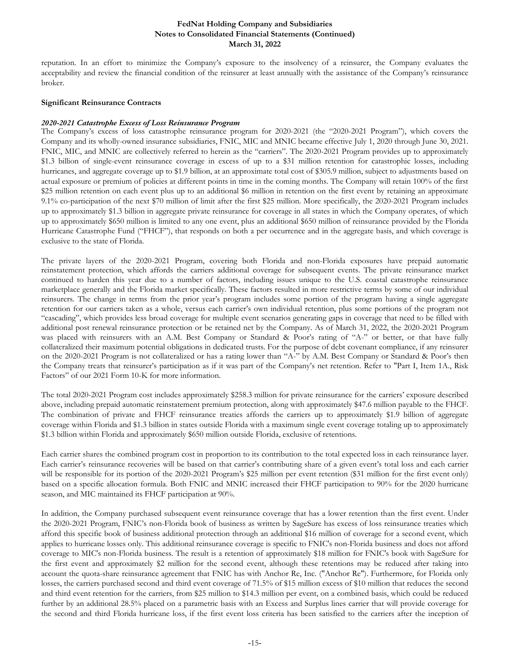reputation. In an effort to minimize the Company's exposure to the insolvency of a reinsurer, the Company evaluates the acceptability and review the financial condition of the reinsurer at least annually with the assistance of the Company's reinsurance broker.

#### **Significant Reinsurance Contracts**

#### *2020-2021 Catastrophe Excess of Loss Reinsurance Program*

The Company's excess of loss catastrophe reinsurance program for 2020-2021 (the "2020-2021 Program"), which covers the Company and its wholly-owned insurance subsidiaries, FNIC, MIC and MNIC became effective July 1, 2020 through June 30, 2021. FNIC, MIC, and MNIC are collectively referred to herein as the "carriers". The 2020-2021 Program provides up to approximately \$1.3 billion of single-event reinsurance coverage in excess of up to a \$31 million retention for catastrophic losses, including hurricanes, and aggregate coverage up to \$1.9 billion, at an approximate total cost of \$305.9 million, subject to adjustments based on actual exposure or premium of policies at different points in time in the coming months. The Company will retain 100% of the first \$25 million retention on each event plus up to an additional \$6 million in retention on the first event by retaining an approximate 9.1% co-participation of the next \$70 million of limit after the first \$25 million. More specifically, the 2020-2021 Program includes up to approximately \$1.3 billion in aggregate private reinsurance for coverage in all states in which the Company operates, of which up to approximately \$650 million is limited to any one event, plus an additional \$650 million of reinsurance provided by the Florida Hurricane Catastrophe Fund ("FHCF"), that responds on both a per occurrence and in the aggregate basis, and which coverage is exclusive to the state of Florida.

The private layers of the 2020-2021 Program, covering both Florida and non-Florida exposures have prepaid automatic reinstatement protection, which affords the carriers additional coverage for subsequent events. The private reinsurance market continued to harden this year due to a number of factors, including issues unique to the U.S. coastal catastrophe reinsurance marketplace generally and the Florida market specifically. These factors resulted in more restrictive terms by some of our individual reinsurers. The change in terms from the prior year's program includes some portion of the program having a single aggregate retention for our carriers taken as a whole, versus each carrier's own individual retention, plus some portions of the program not "cascading", which provides less broad coverage for multiple event scenarios generating gaps in coverage that need to be filled with additional post renewal reinsurance protection or be retained net by the Company. As of March 31, 2022, the 2020-2021 Program was placed with reinsurers with an A.M. Best Company or Standard & Poor's rating of "A-" or better, or that have fully collateralized their maximum potential obligations in dedicated trusts. For the purpose of debt covenant compliance, if any reinsurer on the 2020-2021 Program is not collateralized or has a rating lower than "A-" by A.M. Best Company or Standard & Poor's then the Company treats that reinsurer's participation as if it was part of the Company's net retention. Refer to "Part I, Item 1A., Risk Factors" of our 2021 Form 10-K for more information.

The total 2020-2021 Program cost includes approximately \$258.3 million for private reinsurance for the carriers' exposure described above, including prepaid automatic reinstatement premium protection, along with approximately \$47.6 million payable to the FHCF. The combination of private and FHCF reinsurance treaties affords the carriers up to approximately \$1.9 billion of aggregate coverage within Florida and \$1.3 billion in states outside Florida with a maximum single event coverage totaling up to approximately \$1.3 billion within Florida and approximately \$650 million outside Florida, exclusive of retentions.

Each carrier shares the combined program cost in proportion to its contribution to the total expected loss in each reinsurance layer. Each carrier's reinsurance recoveries will be based on that carrier's contributing share of a given event's total loss and each carrier will be responsible for its portion of the 2020-2021 Program's \$25 million per event retention (\$31 million for the first event only) based on a specific allocation formula. Both FNIC and MNIC increased their FHCF participation to 90% for the 2020 hurricane season, and MIC maintained its FHCF participation at 90%.

In addition, the Company purchased subsequent event reinsurance coverage that has a lower retention than the first event. Under the 2020-2021 Program, FNIC's non-Florida book of business as written by SageSure has excess of loss reinsurance treaties which afford this specific book of business additional protection through an additional \$16 million of coverage for a second event, which applies to hurricane losses only. This additional reinsurance coverage is specific to FNIC's non-Florida business and does not afford coverage to MIC's non-Florida business. The result is a retention of approximately \$18 million for FNIC's book with SageSure for the first event and approximately \$2 million for the second event, although these retentions may be reduced after taking into account the quota-share reinsurance agreement that FNIC has with Anchor Re, Inc. ("Anchor Re"). Furthermore, for Florida only losses, the carriers purchased second and third event coverage of 71.5% of \$15 million excess of \$10 million that reduces the second and third event retention for the carriers, from \$25 million to \$14.3 million per event, on a combined basis, which could be reduced further by an additional 28.5% placed on a parametric basis with an Excess and Surplus lines carrier that will provide coverage for the second and third Florida hurricane loss, if the first event loss criteria has been satisfied to the carriers after the inception of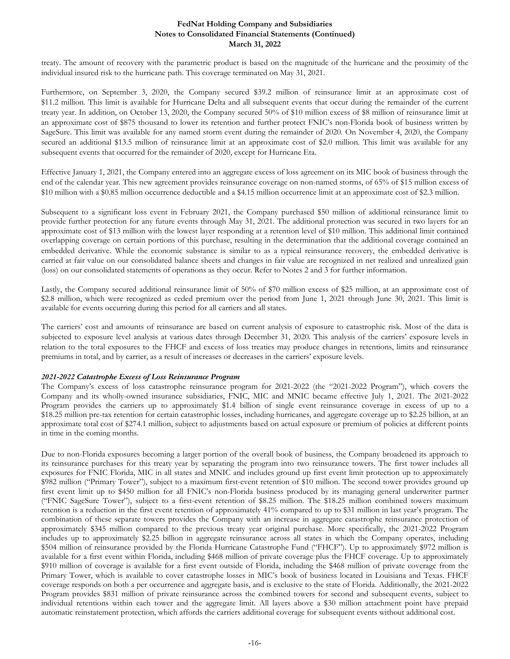treaty. The amount of recovery with the parametric product is based on the magnitude of the hurricane and the proximity of the individual insured risk to the hurricane path. This coverage terminated on May 31, 2021.

Furthermore, on September 3, 2020, the Company secured \$39.2 million of reinsurance limit at an approximate cost of \$11.2 million. This limit is available for Hurricane Delta and all subsequent events that occur during the remainder of the current treaty year. In addition, on October 13, 2020, the Company secured 50% of \$10 million excess of \$8 million of reinsurance limit at an approximate cost of \$875 thousand to lower its retention and further protect FNIC's non-Florida book of business written by SageSure. This limit was available for any named storm event during the remainder of 2020. On November 4, 2020, the Company secured an additional \$13.5 million of reinsurance limit at an approximate cost of \$2.0 million. This limit was available for any subsequent events that occurred for the remainder of 2020, except for Hurricane Eta.

Effective January 1, 2021, the Company entered into an aggregate excess of loss agreement on its MIC book of business through the end of the calendar year. This new agreement provides reinsurance coverage on non-named storms, of 65% of \$15 million excess of \$10 million with a \$0.85 million occurrence deductible and a \$4.15 million occurrence limit at an approximate cost of \$2.3 million.

Subsequent to a significant loss event in February 2021, the Company purchased \$50 million of additional reinsurance limit to provide further protection for any future events through May 31, 2021. The additional protection was secured in two layers for an approximate cost of \$13 million with the lowest layer responding at a retention level of \$10 million. This additional limit contained overlapping coverage on certain portions of this purchase, resulting in the determination that the additional coverage contained an embedded derivative. While the economic substance is similar to as a typical reinsurance recovery, the embedded derivative is carried at fair value on our consolidated balance sheets and changes in fair value are recognized in net realized and unrealized gain (loss) on our consolidated statements of operations as they occur. Refer to Notes 2 and 3 for further information.

Lastly, the Company secured additional reinsurance limit of 50% of \$70 million excess of \$25 million, at an approximate cost of \$2.8 million, which were recognized as ceded premium over the period from June 1, 2021 through June 30, 2021. This limit is available for events occurring during this period for all carriers and all states.

The carriers' cost and amounts of reinsurance are based on current analysis of exposure to catastrophic risk. Most of the data is subjected to exposure level analysis at various dates through December 31, 2020. This analysis of the carriers' exposure levels in relation to the total exposures to the FHCF and excess of loss treaties may produce changes in retentions, limits and reinsurance premiums in total, and by carrier, as a result of increases or decreases in the carriers' exposure levels.

#### *2021-2022 Catastrophe Excess of Loss Reinsurance Program*

The Company's excess of loss catastrophe reinsurance program for 2021-2022 (the "2021-2022 Program"), which covers the Company and its wholly-owned insurance subsidiaries, FNIC, MIC and MNIC became effective July 1, 2021. The 2021-2022 Program provides the carriers up to approximately \$1.4 billion of single event reinsurance coverage in excess of up to a \$18.25 million pre-tax retention for certain catastrophic losses, including hurricanes, and aggregate coverage up to \$2.25 billion, at an approximate total cost of \$274.1 million, subject to adjustments based on actual exposure or premium of policies at different points in time in the coming months.

Due to non-Florida exposures becoming a larger portion of the overall book of business, the Company broadened its approach to its reinsurance purchases for this treaty year by separating the program into two reinsurance towers. The first tower includes all exposures for FNIC Florida, MIC in all states and MNIC and includes ground up first event limit protection up to approximately \$982 million ("Primary Tower"), subject to a maximum first-event retention of \$10 million. The second tower provides ground up first event limit up to \$450 million for all FNIC's non-Florida business produced by its managing general underwriter partner ("FNIC SageSure Tower"), subject to a first-event retention of \$8.25 million. The \$18.25 million combined towers maximum retention is a reduction in the first event retention of approximately 41% compared to up to \$31 million in last year's program. The combination of these separate towers provides the Company with an increase in aggregate catastrophe reinsurance protection of approximately \$345 million compared to the previous treaty year original purchase. More specifically, the 2021-2022 Program includes up to approximately \$2.25 billion in aggregate reinsurance across all states in which the Company operates, including \$504 million of reinsurance provided by the Florida Hurricane Catastrophe Fund ("FHCF"). Up to approximately \$972 million is available for a first event within Florida, including \$468 million of private coverage plus the FHCF coverage. Up to approximately \$910 million of coverage is available for a first event outside of Florida, including the \$468 million of private coverage from the Primary Tower, which is available to cover catastrophe losses in MIC's book of business located in Louisiana and Texas. FHCF coverage responds on both a per occurrence and aggregate basis, and is exclusive to the state of Florida. Additionally, the 2021-2022 Program provides \$831 million of private reinsurance across the combined towers for second and subsequent events, subject to individual retentions within each tower and the aggregate limit. All layers above a \$30 million attachment point have prepaid automatic reinstatement protection, which affords the carriers additional coverage for subsequent events without additional cost.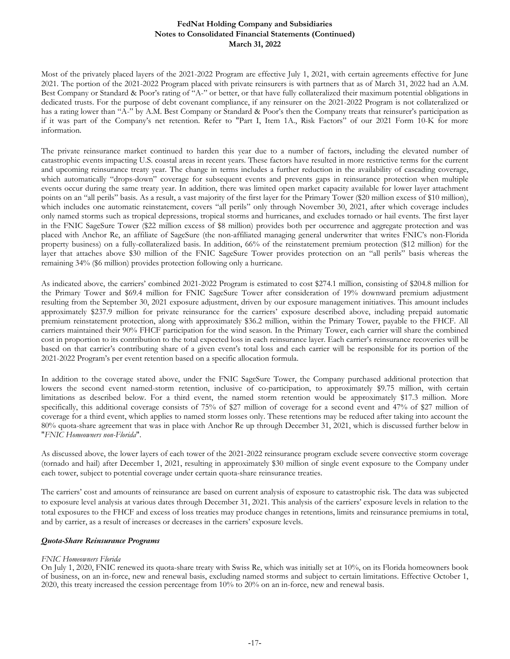Most of the privately placed layers of the 2021-2022 Program are effective July 1, 2021, with certain agreements effective for June 2021. The portion of the 2021-2022 Program placed with private reinsurers is with partners that as of March 31, 2022 had an A.M. Best Company or Standard & Poor's rating of "A-" or better, or that have fully collateralized their maximum potential obligations in dedicated trusts. For the purpose of debt covenant compliance, if any reinsurer on the 2021-2022 Program is not collateralized or has a rating lower than "A-" by A.M. Best Company or Standard & Poor's then the Company treats that reinsurer's participation as if it was part of the Company's net retention. Refer to "Part I, Item 1A., Risk Factors" of our 2021 Form 10-K for more information.

The private reinsurance market continued to harden this year due to a number of factors, including the elevated number of catastrophic events impacting U.S. coastal areas in recent years. These factors have resulted in more restrictive terms for the current and upcoming reinsurance treaty year. The change in terms includes a further reduction in the availability of cascading coverage, which automatically "drops-down" coverage for subsequent events and prevents gaps in reinsurance protection when multiple events occur during the same treaty year. In addition, there was limited open market capacity available for lower layer attachment points on an "all perils" basis. As a result, a vast majority of the first layer for the Primary Tower (\$20 million excess of \$10 million), which includes one automatic reinstatement, covers "all perils" only through November 30, 2021, after which coverage includes only named storms such as tropical depressions, tropical storms and hurricanes, and excludes tornado or hail events. The first layer in the FNIC SageSure Tower (\$22 million excess of \$8 million) provides both per occurrence and aggregate protection and was placed with Anchor Re, an affiliate of SageSure (the non-affiliated managing general underwriter that writes FNIC's non-Florida property business) on a fully-collateralized basis. In addition, 66% of the reinstatement premium protection (\$12 million) for the layer that attaches above \$30 million of the FNIC SageSure Tower provides protection on an "all perils" basis whereas the remaining 34% (\$6 million) provides protection following only a hurricane.

As indicated above, the carriers' combined 2021-2022 Program is estimated to cost \$274.1 million, consisting of \$204.8 million for the Primary Tower and \$69.4 million for FNIC SageSure Tower after consideration of 19% downward premium adjustment resulting from the September 30, 2021 exposure adjustment, driven by our exposure management initiatives. This amount includes approximately \$237.9 million for private reinsurance for the carriers' exposure described above, including prepaid automatic premium reinstatement protection, along with approximately \$36.2 million, within the Primary Tower, payable to the FHCF. All carriers maintained their 90% FHCF participation for the wind season. In the Primary Tower, each carrier will share the combined cost in proportion to its contribution to the total expected loss in each reinsurance layer. Each carrier's reinsurance recoveries will be based on that carrier's contributing share of a given event's total loss and each carrier will be responsible for its portion of the 2021-2022 Program's per event retention based on a specific allocation formula.

In addition to the coverage stated above, under the FNIC SageSure Tower, the Company purchased additional protection that lowers the second event named-storm retention, inclusive of co-participation, to approximately \$9.75 million, with certain limitations as described below. For a third event, the named storm retention would be approximately \$17.3 million. More specifically, this additional coverage consists of 75% of \$27 million of coverage for a second event and 47% of \$27 million of coverage for a third event, which applies to named storm losses only. These retentions may be reduced after taking into account the 80% quota-share agreement that was in place with Anchor Re up through December 31, 2021, which is discussed further below in "*FNIC Homeowners non-Florida*".

As discussed above, the lower layers of each tower of the 2021-2022 reinsurance program exclude severe convective storm coverage (tornado and hail) after December 1, 2021, resulting in approximately \$30 million of single event exposure to the Company under each tower, subject to potential coverage under certain quota-share reinsurance treaties.

The carriers' cost and amounts of reinsurance are based on current analysis of exposure to catastrophic risk. The data was subjected to exposure level analysis at various dates through December 31, 2021. This analysis of the carriers' exposure levels in relation to the total exposures to the FHCF and excess of loss treaties may produce changes in retentions, limits and reinsurance premiums in total, and by carrier, as a result of increases or decreases in the carriers' exposure levels.

#### *Quota-Share Reinsurance Programs*

# *FNIC Homeowners Florida*

On July 1, 2020, FNIC renewed its quota-share treaty with Swiss Re, which was initially set at 10%, on its Florida homeowners book of business, on an in-force, new and renewal basis, excluding named storms and subject to certain limitations. Effective October 1, 2020, this treaty increased the cession percentage from 10% to 20% on an in-force, new and renewal basis.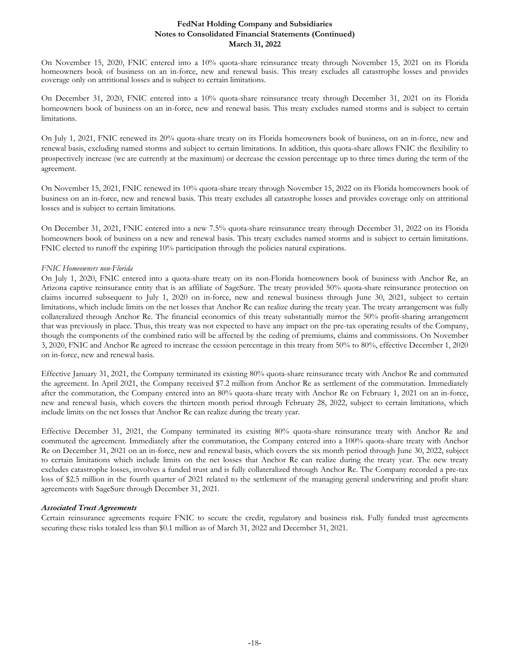On November 15, 2020, FNIC entered into a 10% quota-share reinsurance treaty through November 15, 2021 on its Florida homeowners book of business on an in-force, new and renewal basis. This treaty excludes all catastrophe losses and provides coverage only on attritional losses and is subject to certain limitations.

On December 31, 2020, FNIC entered into a 10% quota-share reinsurance treaty through December 31, 2021 on its Florida homeowners book of business on an in-force, new and renewal basis. This treaty excludes named storms and is subject to certain limitations.

On July 1, 2021, FNIC renewed its 20% quota-share treaty on its Florida homeowners book of business, on an in-force, new and renewal basis, excluding named storms and subject to certain limitations. In addition, this quota-share allows FNIC the flexibility to prospectively increase (we are currently at the maximum) or decrease the cession percentage up to three times during the term of the agreement.

On November 15, 2021, FNIC renewed its 10% quota-share treaty through November 15, 2022 on its Florida homeowners book of business on an in-force, new and renewal basis. This treaty excludes all catastrophe losses and provides coverage only on attritional losses and is subject to certain limitations.

On December 31, 2021, FNIC entered into a new 7.5% quota-share reinsurance treaty through December 31, 2022 on its Florida homeowners book of business on a new and renewal basis. This treaty excludes named storms and is subject to certain limitations. FNIC elected to runoff the expiring 10% participation through the policies natural expirations.

### *FNIC Homeowners non-Florida*

On July 1, 2020, FNIC entered into a quota-share treaty on its non-Florida homeowners book of business with Anchor Re, an Arizona captive reinsurance entity that is an affiliate of SageSure. The treaty provided 50% quota-share reinsurance protection on claims incurred subsequent to July 1, 2020 on in-force, new and renewal business through June 30, 2021, subject to certain limitations, which include limits on the net losses that Anchor Re can realize during the treaty year. The treaty arrangement was fully collateralized through Anchor Re. The financial economics of this treaty substantially mirror the 50% profit-sharing arrangement that was previously in place. Thus, this treaty was not expected to have any impact on the pre-tax operating results of the Company, though the components of the combined ratio will be affected by the ceding of premiums, claims and commissions. On November 3, 2020, FNIC and Anchor Re agreed to increase the cession percentage in this treaty from 50% to 80%, effective December 1, 2020 on in-force, new and renewal basis.

Effective January 31, 2021, the Company terminated its existing 80% quota-share reinsurance treaty with Anchor Re and commuted the agreement. In April 2021, the Company received \$7.2 million from Anchor Re as settlement of the commutation. Immediately after the commutation, the Company entered into an 80% quota-share treaty with Anchor Re on February 1, 2021 on an in-force, new and renewal basis, which covers the thirteen month period through February 28, 2022, subject to certain limitations, which include limits on the net losses that Anchor Re can realize during the treaty year.

Effective December 31, 2021, the Company terminated its existing 80% quota-share reinsurance treaty with Anchor Re and commuted the agreement. Immediately after the commutation, the Company entered into a 100% quota-share treaty with Anchor Re on December 31, 2021 on an in-force, new and renewal basis, which covers the six month period through June 30, 2022, subject to certain limitations which include limits on the net losses that Anchor Re can realize during the treaty year. The new treaty excludes catastrophe losses, involves a funded trust and is fully collateralized through Anchor Re. The Company recorded a pre-tax loss of \$2.5 million in the fourth quarter of 2021 related to the settlement of the managing general underwriting and profit share agreements with SageSure through December 31, 2021.

#### *Associated Trust Agreements*

Certain reinsurance agreements require FNIC to secure the credit, regulatory and business risk. Fully funded trust agreements securing these risks totaled less than \$0.1 million as of March 31, 2022 and December 31, 2021.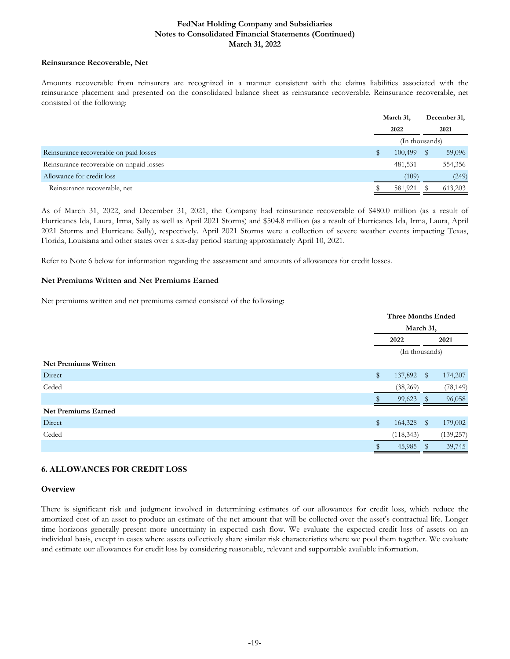### **Reinsurance Recoverable, Net**

Amounts recoverable from reinsurers are recognized in a manner consistent with the claims liabilities associated with the reinsurance placement and presented on the consolidated balance sheet as reinsurance recoverable. Reinsurance recoverable, net consisted of the following:

|                                          | March 31, | December 31,   |
|------------------------------------------|-----------|----------------|
|                                          | 2022      | 2021           |
|                                          |           | (In thousands) |
| Reinsurance recoverable on paid losses   | 100,499   | 59,096         |
| Reinsurance recoverable on unpaid losses | 481,531   | 554,356        |
| Allowance for credit loss                | (109)     | (249)          |
| Reinsurance recoverable, net             | 581,921   | 613,203        |

As of March 31, 2022, and December 31, 2021, the Company had reinsurance recoverable of \$480.0 million (as a result of Hurricanes Ida, Laura, Irma, Sally as well as April 2021 Storms) and \$504.8 million (as a result of Hurricanes Ida, Irma, Laura, April 2021 Storms and Hurricane Sally), respectively. April 2021 Storms were a collection of severe weather events impacting Texas, Florida, Louisiana and other states over a six-day period starting approximately April 10, 2021.

Refer to Note 6 below for information regarding the assessment and amounts of allowances for credit losses.

### **Net Premiums Written and Net Premiums Earned**

Net premiums written and net premiums earned consisted of the following:

|                             |              | <b>Three Months Ended</b> |               |            |  |  |  |
|-----------------------------|--------------|---------------------------|---------------|------------|--|--|--|
|                             |              | March 31,                 |               |            |  |  |  |
|                             |              | 2022                      |               | 2021       |  |  |  |
|                             |              | (In thousands)            |               |            |  |  |  |
| <b>Net Premiums Written</b> |              |                           |               |            |  |  |  |
| Direct                      | \$           | 137,892                   | $\mathbb{S}$  | 174,207    |  |  |  |
| Ceded                       |              | (38,269)                  |               | (78, 149)  |  |  |  |
|                             |              | 99,623                    | <sup>\$</sup> | 96,058     |  |  |  |
| <b>Net Premiums Earned</b>  |              |                           |               |            |  |  |  |
| Direct                      | $\mathbb{S}$ | 164,328                   | $\mathbb{S}$  | 179,002    |  |  |  |
| Ceded                       |              | (118, 343)                |               | (139, 257) |  |  |  |
|                             |              | 45,985                    |               | 39,745     |  |  |  |

# **6. ALLOWANCES FOR CREDIT LOSS**

#### **Overview**

There is significant risk and judgment involved in determining estimates of our allowances for credit loss, which reduce the amortized cost of an asset to produce an estimate of the net amount that will be collected over the asset's contractual life. Longer time horizons generally present more uncertainty in expected cash flow. We evaluate the expected credit loss of assets on an individual basis, except in cases where assets collectively share similar risk characteristics where we pool them together. We evaluate and estimate our allowances for credit loss by considering reasonable, relevant and supportable available information.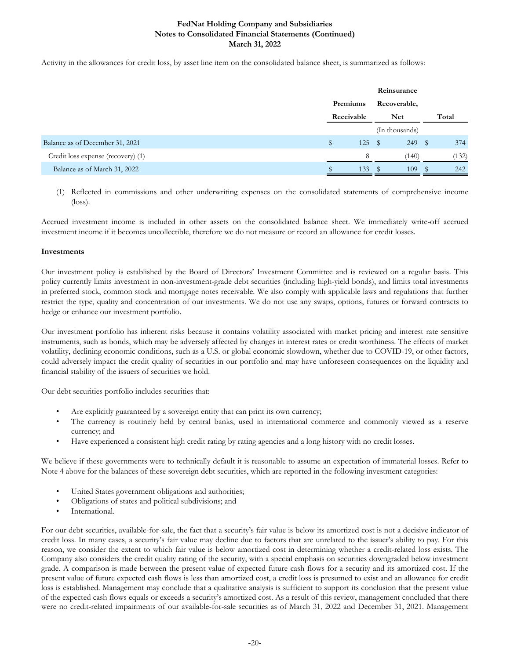Activity in the allowances for credit loss, by asset line item on the consolidated balance sheet, is summarized as follows:

|                                    |            |     | Reinsurance    |   |       |
|------------------------------------|------------|-----|----------------|---|-------|
|                                    | Premiums   |     | Recoverable,   |   |       |
|                                    | Receivable |     | <b>Net</b>     |   | Total |
|                                    |            |     | (In thousands) |   |       |
| Balance as of December 31, 2021    | \$         | 125 | 249<br>- \$    | S | 374   |
| Credit loss expense (recovery) (1) |            | 8   | (140)          |   | (132) |
| Balance as of March 31, 2022       |            | 133 | 109            |   | 242   |

(1) Reflected in commissions and other underwriting expenses on the consolidated statements of comprehensive income (loss).

Accrued investment income is included in other assets on the consolidated balance sheet. We immediately write-off accrued investment income if it becomes uncollectible, therefore we do not measure or record an allowance for credit losses.

### **Investments**

Our investment policy is established by the Board of Directors' Investment Committee and is reviewed on a regular basis. This policy currently limits investment in non-investment-grade debt securities (including high-yield bonds), and limits total investments in preferred stock, common stock and mortgage notes receivable. We also comply with applicable laws and regulations that further restrict the type, quality and concentration of our investments. We do not use any swaps, options, futures or forward contracts to hedge or enhance our investment portfolio.

Our investment portfolio has inherent risks because it contains volatility associated with market pricing and interest rate sensitive instruments, such as bonds, which may be adversely affected by changes in interest rates or credit worthiness. The effects of market volatility, declining economic conditions, such as a U.S. or global economic slowdown, whether due to COVID-19, or other factors, could adversely impact the credit quality of securities in our portfolio and may have unforeseen consequences on the liquidity and financial stability of the issuers of securities we hold.

Our debt securities portfolio includes securities that:

- Are explicitly guaranteed by a sovereign entity that can print its own currency;
- The currency is routinely held by central banks, used in international commerce and commonly viewed as a reserve currency; and
- Have experienced a consistent high credit rating by rating agencies and a long history with no credit losses.

We believe if these governments were to technically default it is reasonable to assume an expectation of immaterial losses. Refer to Note 4 above for the balances of these sovereign debt securities, which are reported in the following investment categories:

- United States government obligations and authorities;
- Obligations of states and political subdivisions; and
- International.

For our debt securities, available-for-sale, the fact that a security's fair value is below its amortized cost is not a decisive indicator of credit loss. In many cases, a security's fair value may decline due to factors that are unrelated to the issuer's ability to pay. For this reason, we consider the extent to which fair value is below amortized cost in determining whether a credit-related loss exists. The Company also considers the credit quality rating of the security, with a special emphasis on securities downgraded below investment grade. A comparison is made between the present value of expected future cash flows for a security and its amortized cost. If the present value of future expected cash flows is less than amortized cost, a credit loss is presumed to exist and an allowance for credit loss is established. Management may conclude that a qualitative analysis is sufficient to support its conclusion that the present value of the expected cash flows equals or exceeds a security's amortized cost. As a result of this review, management concluded that there were no credit-related impairments of our available-for-sale securities as of March 31, 2022 and December 31, 2021. Management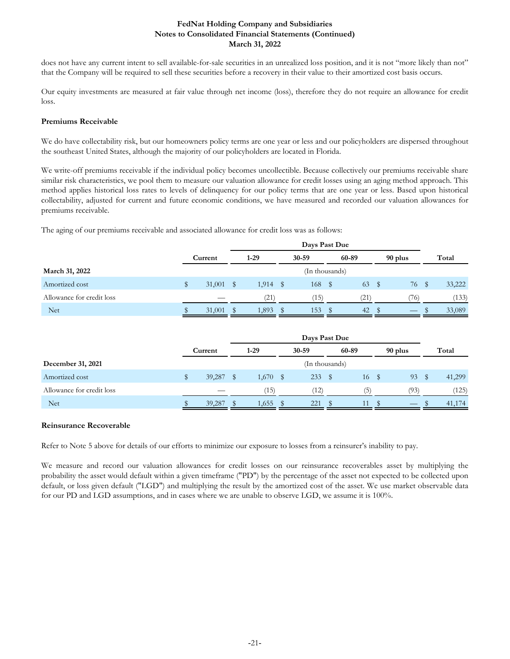does not have any current intent to sell available-for-sale securities in an unrealized loss position, and it is not "more likely than not" that the Company will be required to sell these securities before a recovery in their value to their amortized cost basis occurs.

Our equity investments are measured at fair value through net income (loss), therefore they do not require an allowance for credit loss.

### **Premiums Receivable**

We do have collectability risk, but our homeowners policy terms are one year or less and our policyholders are dispersed throughout the southeast United States, although the majority of our policyholders are located in Florida.

We write-off premiums receivable if the individual policy becomes uncollectible. Because collectively our premiums receivable share similar risk characteristics, we pool them to measure our valuation allowance for credit losses using an aging method approach. This method applies historical loss rates to levels of delinquency for our policy terms that are one year or less. Based upon historical collectability, adjusted for current and future economic conditions, we have measured and recorded our valuation allowances for premiums receivable.

The aging of our premiums receivable and associated allowance for credit loss was as follows:

|                           |             | Days Past Due |            |   |                |      |       |  |         |      |        |
|---------------------------|-------------|---------------|------------|---|----------------|------|-------|--|---------|------|--------|
|                           | Current     |               | $1-29$     |   | 30-59          |      | 60-89 |  | 90 plus |      | Total  |
| March 31, 2022            |             |               |            |   | (In thousands) |      |       |  |         |      |        |
| Amortized cost            | $31,001$ \$ |               | $1,914$ \$ |   | 168            | - \$ | 63    |  | 76      | - \$ | 33,222 |
| Allowance for credit loss |             |               | (21)       |   | (15)           |      | (21)  |  | 76)     |      | (133)  |
| <b>Net</b>                | 31,001      | - \$          | 1,893      | S | 153            | S    | 42    |  |         |      | 33,089 |

|                           | Current |      | $1-29$ |   | 30-59          |      | 60-89 | 90 plus |   | Total  |
|---------------------------|---------|------|--------|---|----------------|------|-------|---------|---|--------|
| December 31, 2021         |         |      |        |   | (In thousands) |      |       |         |   |        |
| Amortized cost            | 39,287  | - \$ | 1,670  | S | 233            | - \$ | 16 \$ | 93      | S | 41,299 |
| Allowance for credit loss |         |      | (15)   |   | (12)           |      | (5)   | (93)    |   | (125)  |
| <b>Net</b>                | 39,287  |      | 1,655  |   | 221            |      | 11    |         |   | 41,174 |

# **Reinsurance Recoverable**

Refer to Note 5 above for details of our efforts to minimize our exposure to losses from a reinsurer's inability to pay.

We measure and record our valuation allowances for credit losses on our reinsurance recoverables asset by multiplying the probability the asset would default within a given timeframe ("PD") by the percentage of the asset not expected to be collected upon default, or loss given default ("LGD") and multiplying the result by the amortized cost of the asset. We use market observable data for our PD and LGD assumptions, and in cases where we are unable to observe LGD, we assume it is 100%.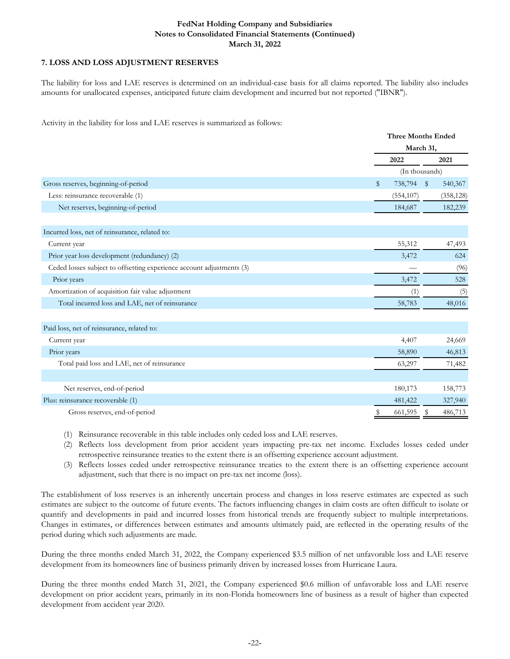# **7. LOSS AND LOSS ADJUSTMENT RESERVES**

The liability for loss and LAE reserves is determined on an individual-case basis for all claims reported. The liability also includes amounts for unallocated expenses, anticipated future claim development and incurred but not reported ("IBNR").

Activity in the liability for loss and LAE reserves is summarized as follows:

|                                                                       | <b>Three Months Ended</b> |                |            |  |  |  |
|-----------------------------------------------------------------------|---------------------------|----------------|------------|--|--|--|
|                                                                       | March 31,                 |                |            |  |  |  |
|                                                                       | 2022                      |                | 2021       |  |  |  |
|                                                                       |                           | (In thousands) |            |  |  |  |
| Gross reserves, beginning-of-period                                   | \$<br>738,794             | $\sqrt[6]{3}$  | 540,367    |  |  |  |
| Less: reinsurance recoverable (1)                                     | (554, 107)                |                | (358, 128) |  |  |  |
| Net reserves, beginning-of-period                                     | 184,687                   |                | 182,239    |  |  |  |
|                                                                       |                           |                |            |  |  |  |
| Incurred loss, net of reinsurance, related to:                        |                           |                |            |  |  |  |
| Current year                                                          | 55,312                    |                | 47,493     |  |  |  |
| Prior year loss development (redundancy) (2)                          | 3,472                     |                | 624        |  |  |  |
| Ceded losses subject to offsetting experience account adjustments (3) |                           |                | (96)       |  |  |  |
| Prior years                                                           | 3,472                     |                | 528        |  |  |  |
| Amortization of acquisition fair value adjustment                     | (1)                       |                | (5)        |  |  |  |
| Total incurred loss and LAE, net of reinsurance                       | 58,783                    |                | 48,016     |  |  |  |
|                                                                       |                           |                |            |  |  |  |
| Paid loss, net of reinsurance, related to:                            |                           |                |            |  |  |  |
| Current year                                                          | 4,407                     |                | 24,669     |  |  |  |
| Prior years                                                           | 58,890                    |                | 46,813     |  |  |  |
| Total paid loss and LAE, net of reinsurance                           | 63,297                    |                | 71,482     |  |  |  |
|                                                                       |                           |                |            |  |  |  |
| Net reserves, end-of-period                                           | 180,173                   |                | 158,773    |  |  |  |
| Plus: reinsurance recoverable (1)                                     | 481,422                   |                | 327,940    |  |  |  |
| Gross reserves, end-of-period                                         | 661,595                   | S              | 486,713    |  |  |  |

(1) Reinsurance recoverable in this table includes only ceded loss and LAE reserves.

(2) Reflects loss development from prior accident years impacting pre-tax net income. Excludes losses ceded under retrospective reinsurance treaties to the extent there is an offsetting experience account adjustment.

(3) Reflects losses ceded under retrospective reinsurance treaties to the extent there is an offsetting experience account adjustment, such that there is no impact on pre-tax net income (loss).

The establishment of loss reserves is an inherently uncertain process and changes in loss reserve estimates are expected as such estimates are subject to the outcome of future events. The factors influencing changes in claim costs are often difficult to isolate or quantify and developments in paid and incurred losses from historical trends are frequently subject to multiple interpretations. Changes in estimates, or differences between estimates and amounts ultimately paid, are reflected in the operating results of the period during which such adjustments are made.

During the three months ended March 31, 2022, the Company experienced \$3.5 million of net unfavorable loss and LAE reserve development from its homeowners line of business primarily driven by increased losses from Hurricane Laura.

During the three months ended March 31, 2021, the Company experienced \$0.6 million of unfavorable loss and LAE reserve development on prior accident years, primarily in its non-Florida homeowners line of business as a result of higher than expected development from accident year 2020.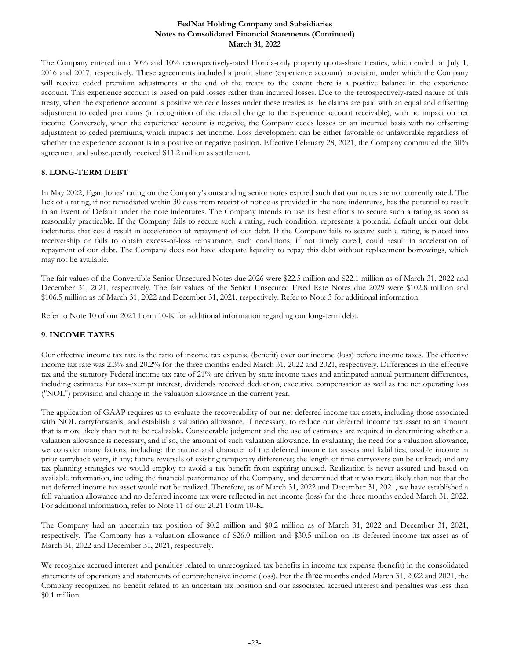The Company entered into 30% and 10% retrospectively-rated Florida-only property quota-share treaties, which ended on July 1, 2016 and 2017, respectively. These agreements included a profit share (experience account) provision, under which the Company will receive ceded premium adjustments at the end of the treaty to the extent there is a positive balance in the experience account. This experience account is based on paid losses rather than incurred losses. Due to the retrospectively-rated nature of this treaty, when the experience account is positive we cede losses under these treaties as the claims are paid with an equal and offsetting adjustment to ceded premiums (in recognition of the related change to the experience account receivable), with no impact on net income. Conversely, when the experience account is negative, the Company cedes losses on an incurred basis with no offsetting adjustment to ceded premiums, which impacts net income. Loss development can be either favorable or unfavorable regardless of whether the experience account is in a positive or negative position. Effective February 28, 2021, the Company commuted the 30% agreement and subsequently received \$11.2 million as settlement.

# **8. LONG-TERM DEBT**

In May 2022, Egan Jones' rating on the Company's outstanding senior notes expired such that our notes are not currently rated. The lack of a rating, if not remediated within 30 days from receipt of notice as provided in the note indentures, has the potential to result in an Event of Default under the note indentures. The Company intends to use its best efforts to secure such a rating as soon as reasonably practicable. If the Company fails to secure such a rating, such condition, represents a potential default under our debt indentures that could result in acceleration of repayment of our debt. If the Company fails to secure such a rating, is placed into receivership or fails to obtain excess-of-loss reinsurance, such conditions, if not timely cured, could result in acceleration of repayment of our debt. The Company does not have adequate liquidity to repay this debt without replacement borrowings, which may not be available.

The fair values of the Convertible Senior Unsecured Notes due 2026 were \$22.5 million and \$22.1 million as of March 31, 2022 and December 31, 2021, respectively. The fair values of the Senior Unsecured Fixed Rate Notes due 2029 were \$102.8 million and \$106.5 million as of March 31, 2022 and December 31, 2021, respectively. Refer to Note 3 for additional information.

Refer to Note 10 of our 2021 Form 10-K for additional information regarding our long-term debt.

# **9. INCOME TAXES**

Our effective income tax rate is the ratio of income tax expense (benefit) over our income (loss) before income taxes. The effective income tax rate was 2.3% and 20.2% for the three months ended March 31, 2022 and 2021, respectively. Differences in the effective tax and the statutory Federal income tax rate of 21% are driven by state income taxes and anticipated annual permanent differences, including estimates for tax-exempt interest, dividends received deduction, executive compensation as well as the net operating loss ("NOL") provision and change in the valuation allowance in the current year.

The application of GAAP requires us to evaluate the recoverability of our net deferred income tax assets, including those associated with NOL carryforwards, and establish a valuation allowance, if necessary, to reduce our deferred income tax asset to an amount that is more likely than not to be realizable. Considerable judgment and the use of estimates are required in determining whether a valuation allowance is necessary, and if so, the amount of such valuation allowance. In evaluating the need for a valuation allowance, we consider many factors, including: the nature and character of the deferred income tax assets and liabilities; taxable income in prior carryback years, if any; future reversals of existing temporary differences; the length of time carryovers can be utilized; and any tax planning strategies we would employ to avoid a tax benefit from expiring unused. Realization is never assured and based on available information, including the financial performance of the Company, and determined that it was more likely than not that the net deferred income tax asset would not be realized. Therefore, as of March 31, 2022 and December 31, 2021, we have established a full valuation allowance and no deferred income tax were reflected in net income (loss) for the three months ended March 31, 2022. For additional information, refer to Note 11 of our 2021 Form 10-K.

The Company had an uncertain tax position of \$0.2 million and \$0.2 million as of March 31, 2022 and December 31, 2021, respectively. The Company has a valuation allowance of \$26.0 million and \$30.5 million on its deferred income tax asset as of March 31, 2022 and December 31, 2021, respectively.

We recognize accrued interest and penalties related to unrecognized tax benefits in income tax expense (benefit) in the consolidated statements of operations and statements of comprehensive income (loss). For the three months ended March 31, 2022 and 2021, the Company recognized no benefit related to an uncertain tax position and our associated accrued interest and penalties was less than \$0.1 million.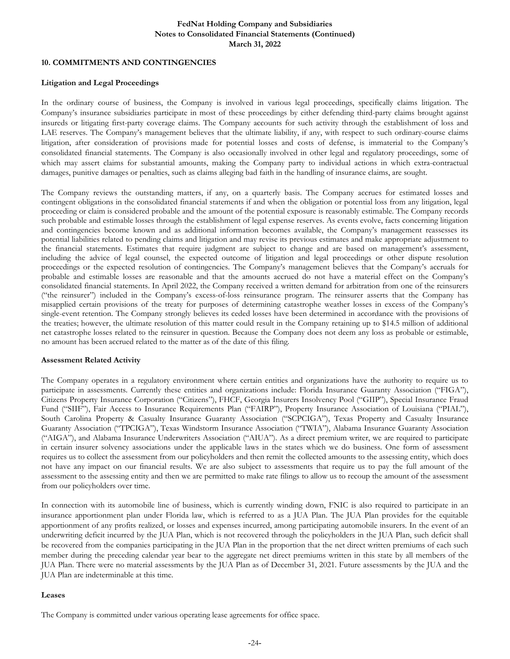### **10. COMMITMENTS AND CONTINGENCIES**

#### **Litigation and Legal Proceedings**

In the ordinary course of business, the Company is involved in various legal proceedings, specifically claims litigation. The Company's insurance subsidiaries participate in most of these proceedings by either defending third-party claims brought against insureds or litigating first-party coverage claims. The Company accounts for such activity through the establishment of loss and LAE reserves. The Company's management believes that the ultimate liability, if any, with respect to such ordinary-course claims litigation, after consideration of provisions made for potential losses and costs of defense, is immaterial to the Company's consolidated financial statements. The Company is also occasionally involved in other legal and regulatory proceedings, some of which may assert claims for substantial amounts, making the Company party to individual actions in which extra-contractual damages, punitive damages or penalties, such as claims alleging bad faith in the handling of insurance claims, are sought.

The Company reviews the outstanding matters, if any, on a quarterly basis. The Company accrues for estimated losses and contingent obligations in the consolidated financial statements if and when the obligation or potential loss from any litigation, legal proceeding or claim is considered probable and the amount of the potential exposure is reasonably estimable. The Company records such probable and estimable losses through the establishment of legal expense reserves. As events evolve, facts concerning litigation and contingencies become known and as additional information becomes available, the Company's management reassesses its potential liabilities related to pending claims and litigation and may revise its previous estimates and make appropriate adjustment to the financial statements. Estimates that require judgment are subject to change and are based on management's assessment, including the advice of legal counsel, the expected outcome of litigation and legal proceedings or other dispute resolution proceedings or the expected resolution of contingencies. The Company's management believes that the Company's accruals for probable and estimable losses are reasonable and that the amounts accrued do not have a material effect on the Company's consolidated financial statements. In April 2022, the Company received a written demand for arbitration from one of the reinsurers ("the reinsurer") included in the Company's excess-of-loss reinsurance program. The reinsurer asserts that the Company has misapplied certain provisions of the treaty for purposes of determining catastrophe weather losses in excess of the Company's single-event retention. The Company strongly believes its ceded losses have been determined in accordance with the provisions of the treaties; however, the ultimate resolution of this matter could result in the Company retaining up to \$14.5 million of additional net catastrophe losses related to the reinsurer in question. Because the Company does not deem any loss as probable or estimable, no amount has been accrued related to the matter as of the date of this filing.

#### **Assessment Related Activity**

The Company operates in a regulatory environment where certain entities and organizations have the authority to require us to participate in assessments. Currently these entities and organizations include: Florida Insurance Guaranty Association ("FIGA"), Citizens Property Insurance Corporation ("Citizens"), FHCF, Georgia Insurers Insolvency Pool ("GIIP"), Special Insurance Fraud Fund ("SIIF"), Fair Access to Insurance Requirements Plan ("FAIRP"), Property Insurance Association of Louisiana ("PIAL"), South Carolina Property & Casualty Insurance Guaranty Association ("SCPCIGA"), Texas Property and Casualty Insurance Guaranty Association ("TPCIGA"), Texas Windstorm Insurance Association ("TWIA"), Alabama Insurance Guaranty Association ("AIGA"), and Alabama Insurance Underwriters Association ("AIUA"). As a direct premium writer, we are required to participate in certain insurer solvency associations under the applicable laws in the states which we do business. One form of assessment requires us to collect the assessment from our policyholders and then remit the collected amounts to the assessing entity, which does not have any impact on our financial results. We are also subject to assessments that require us to pay the full amount of the assessment to the assessing entity and then we are permitted to make rate filings to allow us to recoup the amount of the assessment from our policyholders over time.

In connection with its automobile line of business, which is currently winding down, FNIC is also required to participate in an insurance apportionment plan under Florida law, which is referred to as a JUA Plan. The JUA Plan provides for the equitable apportionment of any profits realized, or losses and expenses incurred, among participating automobile insurers. In the event of an underwriting deficit incurred by the JUA Plan, which is not recovered through the policyholders in the JUA Plan, such deficit shall be recovered from the companies participating in the JUA Plan in the proportion that the net direct written premiums of each such member during the preceding calendar year bear to the aggregate net direct premiums written in this state by all members of the JUA Plan. There were no material assessments by the JUA Plan as of December 31, 2021. Future assessments by the JUA and the JUA Plan are indeterminable at this time.

#### **Leases**

The Company is committed under various operating lease agreements for office space.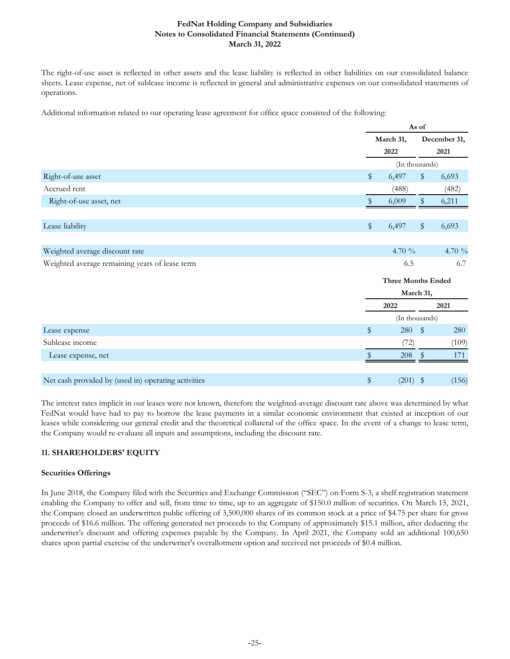The right-of-use asset is reflected in other assets and the lease liability is reflected in other liabilities on our consolidated balance sheets. Lease expense, net of sublease income is reflected in general and administrative expenses on our consolidated statements of operations.

Additional information related to our operating lease agreement for office space consisted of the following:

|                                                     |      |                           | As of         |              |  |  |  |
|-----------------------------------------------------|------|---------------------------|---------------|--------------|--|--|--|
|                                                     |      | March 31,                 |               | December 31, |  |  |  |
|                                                     |      | 2022                      |               | 2021         |  |  |  |
|                                                     |      | (In thousands)            |               |              |  |  |  |
| Right-of-use asset                                  | \$   | 6,497                     | \$            | 6,693        |  |  |  |
| Accrued rent                                        |      | (488)                     |               | (482)        |  |  |  |
| Right-of-use asset, net                             | Y.   | 6,009                     | $\frac{1}{2}$ | 6,211        |  |  |  |
| Lease liability                                     | \$   | 6,497                     | \$            | 6,693        |  |  |  |
|                                                     |      |                           |               |              |  |  |  |
| Weighted average discount rate                      |      | 4.70 %                    |               | 4.70 %       |  |  |  |
| Weighted average remaining years of lease term      |      | 6.5                       |               | 6.7          |  |  |  |
|                                                     |      | <b>Three Months Ended</b> |               |              |  |  |  |
|                                                     |      | March 31,                 |               |              |  |  |  |
|                                                     |      | 2022                      |               | 2021         |  |  |  |
|                                                     |      | (In thousands)            |               |              |  |  |  |
| Lease expense                                       | \$   | 280                       | \$            | 280          |  |  |  |
| Sublease income                                     |      | (72)                      |               | (109)        |  |  |  |
| Lease expense, net                                  | Y.   | 208                       | \$            | 171          |  |  |  |
| Net cash provided by (used in) operating activities | $\,$ | (201)                     | \$            | (156)        |  |  |  |

The interest rates implicit in our leases were not known, therefore the weighted-average discount rate above was determined by what FedNat would have had to pay to borrow the lease payments in a similar economic environment that existed at inception of our leases while considering our general credit and the theoretical collateral of the office space. In the event of a change to lease term, the Company would re-evaluate all inputs and assumptions, including the discount rate.

# **11. SHAREHOLDERS' EQUITY**

# **Securities Offerings**

In June 2018, the Company filed with the Securities and Exchange Commission ("SEC") on Form S-3, a shelf registration statement enabling the Company to offer and sell, from time to time, up to an aggregate of \$150.0 million of securities. On March 15, 2021, the Company closed an underwritten public offering of 3,500,000 shares of its common stock at a price of \$4.75 per share for gross proceeds of \$16.6 million. The offering generated net proceeds to the Company of approximately \$15.1 million, after deducting the underwriter's discount and offering expenses payable by the Company. In April 2021, the Company sold an additional 100,650 shares upon partial exercise of the underwriter's overallotment option and received net proceeds of \$0.4 million.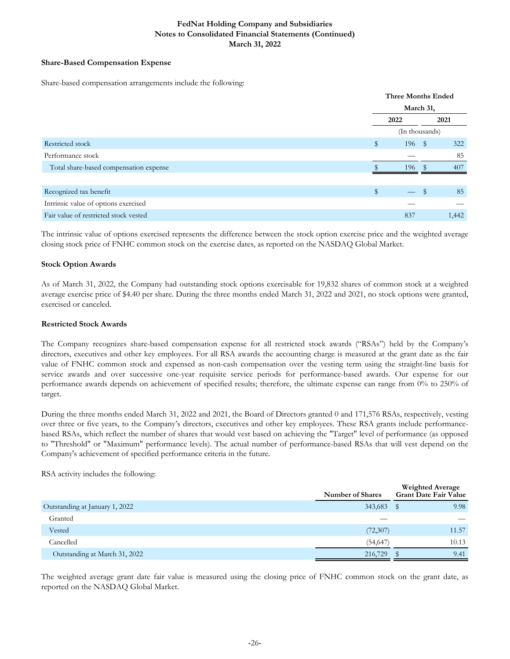# **Share-Based Compensation Expense**

Share-based compensation arrangements include the following:

|                                        | Three Months Ended |                |      |       |  |
|----------------------------------------|--------------------|----------------|------|-------|--|
|                                        |                    |                |      |       |  |
|                                        | 2022               |                |      | 2021  |  |
|                                        |                    | (In thousands) |      |       |  |
| Restricted stock                       | \$                 | 196            | - \$ | 322   |  |
| Performance stock                      |                    |                |      | 85    |  |
| Total share-based compensation expense |                    | 196            |      | 407   |  |
|                                        |                    |                |      |       |  |
| Recognized tax benefit                 | $\mathbb{S}$       |                | S    | 85    |  |
| Intrinsic value of options exercised   |                    |                |      |       |  |
| Fair value of restricted stock vested  |                    | 837            |      | 1,442 |  |

The intrinsic value of options exercised represents the difference between the stock option exercise price and the weighted average closing stock price of FNHC common stock on the exercise dates, as reported on the NASDAQ Global Market.

#### **Stock Option Awards**

As of March 31, 2022, the Company had outstanding stock options exercisable for 19,832 shares of common stock at a weighted average exercise price of \$4.40 per share. During the three months ended March 31, 2022 and 2021, no stock options were granted, exercised or canceled.

### **Restricted Stock Awards**

The Company recognizes share-based compensation expense for all restricted stock awards ("RSAs") held by the Company's directors, executives and other key employees. For all RSA awards the accounting charge is measured at the grant date as the fair value of FNHC common stock and expensed as non-cash compensation over the vesting term using the straight-line basis for service awards and over successive one-year requisite service periods for performance-based awards. Our expense for our performance awards depends on achievement of specified results; therefore, the ultimate expense can range from 0% to 250% of target.

During the three months ended March 31, 2022 and 2021, the Board of Directors granted 0 and 171,576 RSAs, respectively, vesting over three or five years, to the Company's directors, executives and other key employees. These RSA grants include performancebased RSAs, which reflect the number of shares that would vest based on achieving the "Target" level of performance (as opposed to "Threshold" or "Maximum" performance levels). The actual number of performance-based RSAs that will vest depend on the Company's achievement of specified performance criteria in the future.

#### RSA activity includes the following:

|                                | <b>Number of Shares</b> | <b>Weighted Average</b><br>Grant Date Fair Value |
|--------------------------------|-------------------------|--------------------------------------------------|
| Outstanding at January 1, 2022 | 343,683                 | 9.98<br>S                                        |
| Granted                        |                         |                                                  |
| Vested                         | (72,307)                | 11.57                                            |
| Cancelled                      | (54, 647)               | 10.13                                            |
| Outstanding at March 31, 2022  | 216,729                 | 9.41                                             |

The weighted average grant date fair value is measured using the closing price of FNHC common stock on the grant date, as reported on the NASDAQ Global Market.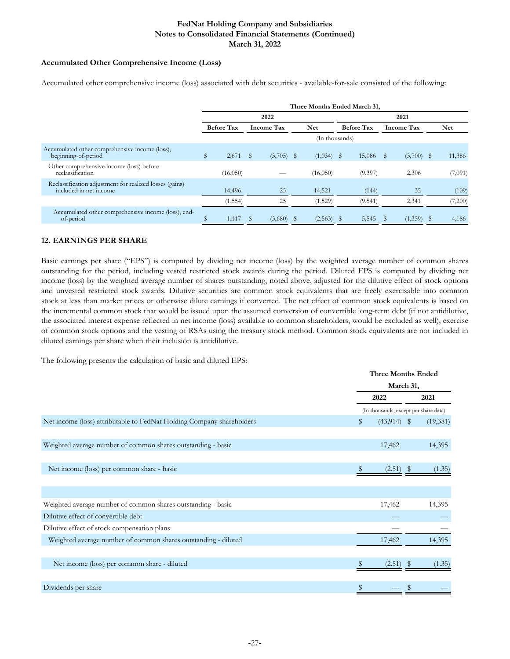### **Accumulated Other Comprehensive Income (Loss)**

Accumulated other comprehensive income (loss) associated with debt securities - available-for-sale consisted of the following:

|                                                                                   | Three Months Ended March 31, |                   |      |                   |  |                |      |                   |  |                   |  |         |
|-----------------------------------------------------------------------------------|------------------------------|-------------------|------|-------------------|--|----------------|------|-------------------|--|-------------------|--|---------|
|                                                                                   |                              |                   |      | 2022              |  |                | 2021 |                   |  |                   |  |         |
|                                                                                   |                              | <b>Before Tax</b> |      | <b>Income Tax</b> |  | Net            |      | <b>Before Tax</b> |  | <b>Income Tax</b> |  | Net     |
|                                                                                   |                              |                   |      |                   |  | (In thousands) |      |                   |  |                   |  |         |
| Accumulated other comprehensive income (loss),<br>beginning-of-period             | \$                           | 2,671             | - \$ | $(3,705)$ \$      |  | $(1,034)$ \$   |      | 15,086 \$         |  | $(3,700)$ \$      |  | 11,386  |
| Other comprehensive income (loss) before<br>reclassification                      |                              | (16,050)          |      |                   |  | (16,050)       |      | (9,397)           |  | 2,306             |  | (7,091) |
| Reclassification adjustment for realized losses (gains)<br>included in net income |                              | 14,496            |      | 25                |  | 14,521         |      | (144)             |  | 35                |  | (109)   |
|                                                                                   |                              | (1, 554)          |      | 25                |  | (1,529)        |      | (9, 541)          |  | 2,341             |  | (7,200) |
| Accumulated other comprehensive income (loss), end-<br>of-period                  |                              | 1,117             |      | (3,680)           |  | (2,563)        |      | 5,545             |  | (1,359)           |  | 4,186   |

# **12. EARNINGS PER SHARE**

Basic earnings per share ("EPS") is computed by dividing net income (loss) by the weighted average number of common shares outstanding for the period, including vested restricted stock awards during the period. Diluted EPS is computed by dividing net income (loss) by the weighted average number of shares outstanding, noted above, adjusted for the dilutive effect of stock options and unvested restricted stock awards. Dilutive securities are common stock equivalents that are freely exercisable into common stock at less than market prices or otherwise dilute earnings if converted. The net effect of common stock equivalents is based on the incremental common stock that would be issued upon the assumed conversion of convertible long-term debt (if not antidilutive, the associated interest expense reflected in net income (loss) available to common shareholders, would be excluded as well), exercise of common stock options and the vesting of RSAs using the treasury stock method. Common stock equivalents are not included in diluted earnings per share when their inclusion is antidilutive.

The following presents the calculation of basic and diluted EPS:

|                                                                       | <b>Three Months Ended</b> |                                       |  |          |
|-----------------------------------------------------------------------|---------------------------|---------------------------------------|--|----------|
|                                                                       |                           | March 31,                             |  |          |
|                                                                       | 2022                      |                                       |  | 2021     |
|                                                                       |                           | (In thousands, except per share data) |  |          |
| Net income (loss) attributable to FedNat Holding Company shareholders | \$                        | $(43,914)$ \$                         |  | (19,381) |
|                                                                       |                           |                                       |  |          |
| Weighted average number of common shares outstanding - basic          |                           | 17,462                                |  | 14,395   |
|                                                                       |                           |                                       |  |          |
| Net income (loss) per common share - basic                            |                           | $(2.51)$ \$                           |  | (1.35)   |
|                                                                       |                           |                                       |  |          |
|                                                                       |                           |                                       |  |          |
| Weighted average number of common shares outstanding - basic          |                           | 17,462                                |  | 14,395   |
| Dilutive effect of convertible debt                                   |                           |                                       |  |          |
| Dilutive effect of stock compensation plans                           |                           |                                       |  |          |
| Weighted average number of common shares outstanding - diluted        |                           | 17,462                                |  | 14,395   |
|                                                                       |                           |                                       |  |          |
| Net income (loss) per common share - diluted                          |                           | (2.51)                                |  | (1.35)   |
|                                                                       |                           |                                       |  |          |
| Dividends per share                                                   |                           |                                       |  |          |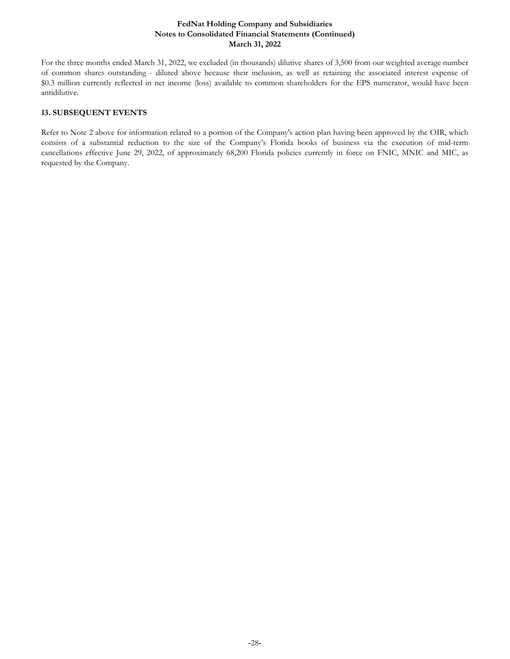For the three months ended March 31, 2022, we excluded (in thousands) dilutive shares of 3,500 from our weighted average number of common shares outstanding - diluted above because their inclusion, as well as retaining the associated interest expense of \$0.3 million currently reflected in net income (loss) available to common shareholders for the EPS numerator, would have been antidilutive.

# **13. SUBSEQUENT EVENTS**

Refer to Note 2 above for information related to a portion of the Company's action plan having been approved by the OIR, which consists of a substantial reduction to the size of the Company's Florida books of business via the execution of mid-term cancellations effective June 29, 2022, of approximately 68,200 Florida policies currently in force on FNIC, MNIC and MIC, as requested by the Company.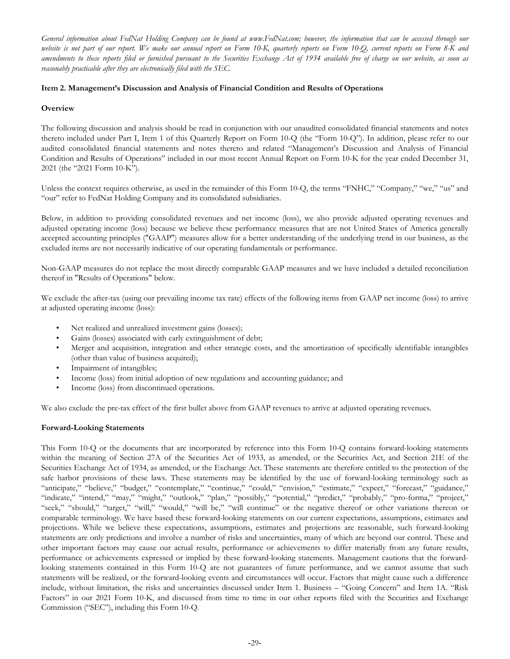<span id="page-30-0"></span>*General information about FedNat Holding Company can be found at www.FedNat.com; however, the information that can be accessed through our website is not part of our report. We make our annual report on Form 10-K, quarterly reports on Form 10-Q, current reports on Form 8-K and amendments to these reports filed or furnished pursuant to the Securities Exchange Act of 1934 available free of charge on our website, as soon as reasonably practicable after they are electronically filed with the SEC.*

## **Item 2. Management's Discussion and Analysis of Financial Condition and Results of Operations**

### **Overview**

The following discussion and analysis should be read in conjunction with our unaudited consolidated financial statements and notes thereto included under Part I, Item 1 of this Quarterly Report on Form 10-Q (the "Form 10-Q"). In addition, please refer to our audited consolidated financial statements and notes thereto and related "Management's Discussion and Analysis of Financial Condition and Results of Operations" included in our most recent Annual Report on Form 10-K for the year ended December 31, 2021 (the "2021 Form 10-K").

Unless the context requires otherwise, as used in the remainder of this Form 10-Q, the terms "FNHC," "Company," "we," "us" and "our" refer to FedNat Holding Company and its consolidated subsidiaries.

Below, in addition to providing consolidated revenues and net income (loss), we also provide adjusted operating revenues and adjusted operating income (loss) because we believe these performance measures that are not United States of America generally accepted accounting principles ("GAAP") measures allow for a better understanding of the underlying trend in our business, as the excluded items are not necessarily indicative of our operating fundamentals or performance.

Non-GAAP measures do not replace the most directly comparable GAAP measures and we have included a detailed reconciliation thereof in "Results of Operations" below.

We exclude the after-tax (using our prevailing income tax rate) effects of the following items from GAAP net income (loss) to arrive at adjusted operating income (loss):

- Net realized and unrealized investment gains (losses);
- Gains (losses) associated with early extinguishment of debt;
- Merger and acquisition, integration and other strategic costs, and the amortization of specifically identifiable intangibles (other than value of business acquired);
- Impairment of intangibles;
- Income (loss) from initial adoption of new regulations and accounting guidance; and
- Income (loss) from discontinued operations.

We also exclude the pre-tax effect of the first bullet above from GAAP revenues to arrive at adjusted operating revenues.

# **Forward-Looking Statements**

This Form 10-Q or the documents that are incorporated by reference into this Form 10-Q contains forward-looking statements within the meaning of Section 27A of the Securities Act of 1933, as amended, or the Securities Act, and Section 21E of the Securities Exchange Act of 1934, as amended, or the Exchange Act. These statements are therefore entitled to the protection of the safe harbor provisions of these laws. These statements may be identified by the use of forward-looking terminology such as "anticipate," "believe," "budget," "contemplate," "continue," "could," "envision," "estimate," "expect," "forecast," "guidance," "indicate," "intend," "may," "might," "outlook," "plan," "possibly," "potential," "predict," "probably," "pro-forma," "project," "seek," "should," "target," "will," "would," "will be," "will continue" or the negative thereof or other variations thereon or comparable terminology. We have based these forward-looking statements on our current expectations, assumptions, estimates and projections. While we believe these expectations, assumptions, estimates and projections are reasonable, such forward-looking statements are only predictions and involve a number of risks and uncertainties, many of which are beyond our control. These and other important factors may cause our actual results, performance or achievements to differ materially from any future results, performance or achievements expressed or implied by these forward-looking statements. Management cautions that the forwardlooking statements contained in this Form 10-Q are not guarantees of future performance, and we cannot assume that such statements will be realized, or the forward-looking events and circumstances will occur. Factors that might cause such a difference include, without limitation, the risks and uncertainties discussed under Item 1. Business – "Going Concern" and Item 1A. "Risk Factors" in our 2021 Form 10-K, and discussed from time to time in our other reports filed with the Securities and Exchange Commission ("SEC"), including this Form 10-Q.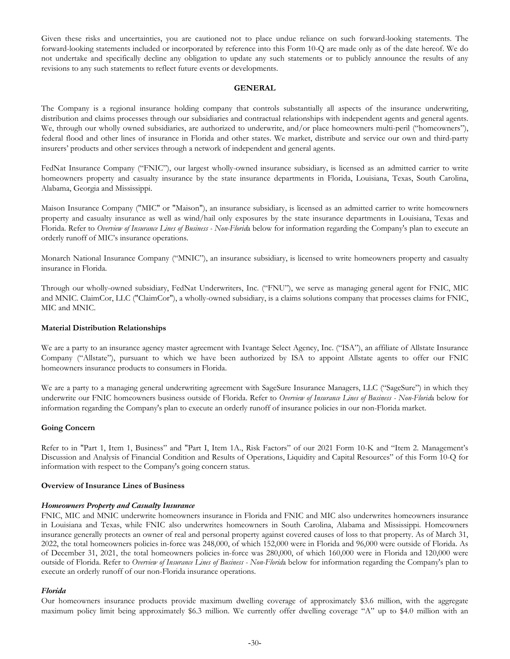Given these risks and uncertainties, you are cautioned not to place undue reliance on such forward-looking statements. The forward-looking statements included or incorporated by reference into this Form 10-Q are made only as of the date hereof. We do not undertake and specifically decline any obligation to update any such statements or to publicly announce the results of any revisions to any such statements to reflect future events or developments.

#### **GENERAL**

The Company is a regional insurance holding company that controls substantially all aspects of the insurance underwriting, distribution and claims processes through our subsidiaries and contractual relationships with independent agents and general agents. We, through our wholly owned subsidiaries, are authorized to underwrite, and/or place homeowners multi-peril ("homeowners"), federal flood and other lines of insurance in Florida and other states. We market, distribute and service our own and third-party insurers' products and other services through a network of independent and general agents.

FedNat Insurance Company ("FNIC"), our largest wholly-owned insurance subsidiary, is licensed as an admitted carrier to write homeowners property and casualty insurance by the state insurance departments in Florida, Louisiana, Texas, South Carolina, Alabama, Georgia and Mississippi.

Maison Insurance Company ("MIC" or "Maison"), an insurance subsidiary, is licensed as an admitted carrier to write homeowners property and casualty insurance as well as wind/hail only exposures by the state insurance departments in Louisiana, Texas and Florida. Refer to *Overview of Insurance Lines of Business - Non-Florid*a below for information regarding the Company's plan to execute an orderly runoff of MIC's insurance operations.

Monarch National Insurance Company ("MNIC"), an insurance subsidiary, is licensed to write homeowners property and casualty insurance in Florida.

Through our wholly-owned subsidiary, FedNat Underwriters, Inc. ("FNU"), we serve as managing general agent for FNIC, MIC and MNIC. ClaimCor, LLC ("ClaimCor"), a wholly-owned subsidiary, is a claims solutions company that processes claims for FNIC, MIC and MNIC.

#### **Material Distribution Relationships**

We are a party to an insurance agency master agreement with Ivantage Select Agency, Inc. ("ISA"), an affiliate of Allstate Insurance Company ("Allstate"), pursuant to which we have been authorized by ISA to appoint Allstate agents to offer our FNIC homeowners insurance products to consumers in Florida.

We are a party to a managing general underwriting agreement with SageSure Insurance Managers, LLC ("SageSure") in which they underwrite our FNIC homeowners business outside of Florida. Refer to *Overview of Insurance Lines of Business - Non-Florid*a below for information regarding the Company's plan to execute an orderly runoff of insurance policies in our non-Florida market.

#### **Going Concern**

Refer to in "Part 1, Item 1, Business" and "Part I, Item 1A., Risk Factors" of our 2021 Form 10-K and "Item 2. Management's Discussion and Analysis of Financial Condition and Results of Operations, Liquidity and Capital Resources" of this Form 10-Q for information with respect to the Company's going concern status.

#### **Overview of Insurance Lines of Business**

#### *Homeowners Property and Casualty Insurance*

FNIC, MIC and MNIC underwrite homeowners insurance in Florida and FNIC and MIC also underwrites homeowners insurance in Louisiana and Texas, while FNIC also underwrites homeowners in South Carolina, Alabama and Mississippi. Homeowners insurance generally protects an owner of real and personal property against covered causes of loss to that property. As of March 31, 2022, the total homeowners policies in-force was 248,000, of which 152,000 were in Florida and 96,000 were outside of Florida. As of December 31, 2021, the total homeowners policies in-force was 280,000, of which 160,000 were in Florida and 120,000 were outside of Florida. Refer to *Overview of Insurance Lines of Business - Non-Florid*a below for information regarding the Company's plan to execute an orderly runoff of our non-Florida insurance operations.

#### *Florida*

Our homeowners insurance products provide maximum dwelling coverage of approximately \$3.6 million, with the aggregate maximum policy limit being approximately \$6.3 million. We currently offer dwelling coverage "A" up to \$4.0 million with an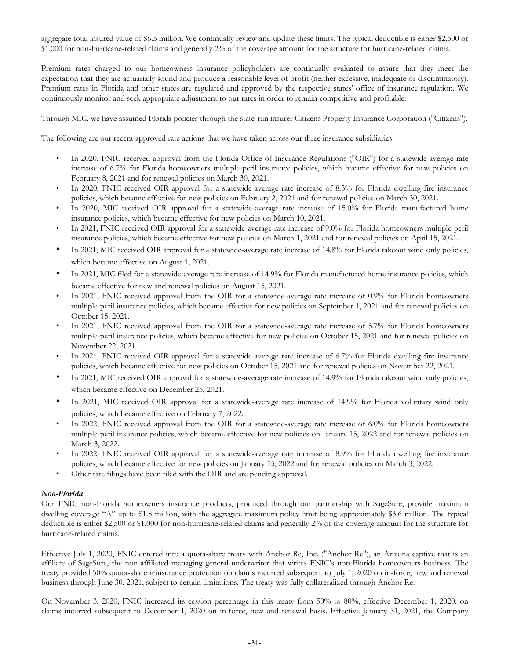aggregate total insured value of \$6.5 million. We continually review and update these limits. The typical deductible is either \$2,500 or \$1,000 for non-hurricane-related claims and generally 2% of the coverage amount for the structure for hurricane-related claims.

Premium rates charged to our homeowners insurance policyholders are continually evaluated to assure that they meet the expectation that they are actuarially sound and produce a reasonable level of profit (neither excessive, inadequate or discriminatory). Premium rates in Florida and other states are regulated and approved by the respective states' office of insurance regulation. We continuously monitor and seek appropriate adjustment to our rates in order to remain competitive and profitable.

Through MIC, we have assumed Florida policies through the state-run insurer Citizens Property Insurance Corporation ("Citizens").

The following are our recent approved rate actions that we have taken across our three insurance subsidiaries:

- In 2020, FNIC received approval from the Florida Office of Insurance Regulations ("OIR") for a statewide-average rate increase of 6.7% for Florida homeowners multiple-peril insurance policies, which became effective for new policies on February 8, 2021 and for renewal policies on March 30, 2021.
- In 2020, FNIC received OIR approval for a statewide-average rate increase of 8.3% for Florida dwelling fire insurance policies, which became effective for new policies on February 2, 2021 and for renewal policies on March 30, 2021.
- In 2020, MIC received OIR approval for a statewide-average rate increase of 15.0% for Florida manufactured home insurance policies, which became effective for new policies on March 10, 2021.
- In 2021, FNIC received OIR approval for a statewide-average rate increase of 9.0% for Florida homeowners multiple-peril insurance policies, which became effective for new policies on March 1, 2021 and for renewal policies on April 15, 2021.
- In 2021, MIC received OIR approval for a statewide-average rate increase of 14.8% for Florida takeout wind only policies, which became effective on August 1, 2021.
- In 2021, MIC filed for a statewide-average rate increase of 14.9% for Florida manufactured home insurance policies, which became effective for new and renewal policies on August 15, 2021.
- In 2021, FNIC received approval from the OIR for a statewide-average rate increase of 0.9% for Florida homeowners multiple-peril insurance policies, which became effective for new policies on September 1, 2021 and for renewal policies on October 15, 2021.
- In 2021, FNIC received approval from the OIR for a statewide-average rate increase of 5.7% for Florida homeowners multiple-peril insurance policies, which became effective for new policies on October 15, 2021 and for renewal policies on November 22, 2021.
- In 2021, FNIC received OIR approval for a statewide-average rate increase of 6.7% for Florida dwelling fire insurance policies, which became effective for new policies on October 15, 2021 and for renewal policies on November 22, 2021.
- In 2021, MIC received OIR approval for a statewide-average rate increase of 14.9% for Florida takeout wind only policies, which became effective on December 25, 2021.
- In 2021, MIC received OIR approval for a statewide-average rate increase of 14.9% for Florida voluntary wind only policies, which became effective on February 7, 2022.
- In 2022, FNIC received approval from the OIR for a statewide-average rate increase of 6.0% for Florida homeowners multiple-peril insurance policies, which became effective for new policies on January 15, 2022 and for renewal policies on March 3, 2022.
- In 2022, FNIC received OIR approval for a statewide-average rate increase of 8.9% for Florida dwelling fire insurance policies, which became effective for new policies on January 15, 2022 and for renewal policies on March 3, 2022.
- Other rate filings have been filed with the OIR and are pending approval.

# *Non-Florida*

Our FNIC non-Florida homeowners insurance products, produced through our partnership with SageSure, provide maximum dwelling coverage "A" up to \$1.8 million, with the aggregate maximum policy limit being approximately \$3.6 million. The typical deductible is either \$2,500 or \$1,000 for non-hurricane-related claims and generally 2% of the coverage amount for the structure for hurricane-related claims.

Effective July 1, 2020, FNIC entered into a quota-share treaty with Anchor Re, Inc. ("Anchor Re"), an Arizona captive that is an affiliate of SageSure, the non-affiliated managing general underwriter that writes FNIC's non-Florida homeowners business. The treaty provided 50% quota-share reinsurance protection on claims incurred subsequent to July 1, 2020 on in-force, new and renewal business through June 30, 2021, subject to certain limitations. The treaty was fully collateralized through Anchor Re.

On November 3, 2020, FNIC increased its cession percentage in this treaty from 50% to 80%, effective December 1, 2020, on claims incurred subsequent to December 1, 2020 on in-force, new and renewal basis. Effective January 31, 2021, the Company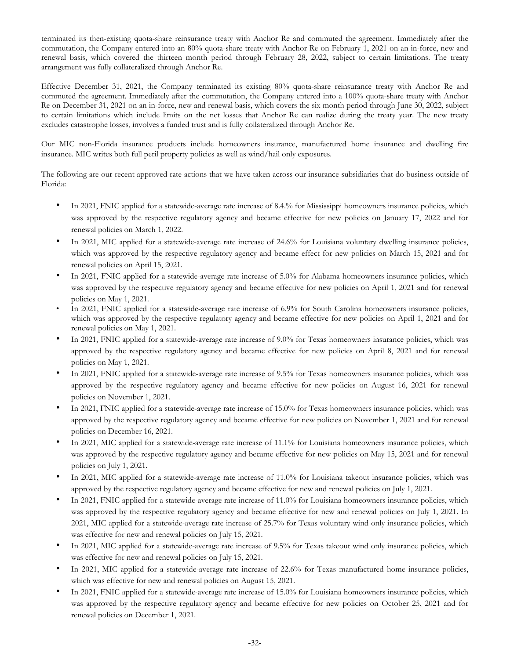terminated its then-existing quota-share reinsurance treaty with Anchor Re and commuted the agreement. Immediately after the commutation, the Company entered into an 80% quota-share treaty with Anchor Re on February 1, 2021 on an in-force, new and renewal basis, which covered the thirteen month period through February 28, 2022, subject to certain limitations. The treaty arrangement was fully collateralized through Anchor Re.

Effective December 31, 2021, the Company terminated its existing 80% quota-share reinsurance treaty with Anchor Re and commuted the agreement. Immediately after the commutation, the Company entered into a 100% quota-share treaty with Anchor Re on December 31, 2021 on an in-force, new and renewal basis, which covers the six month period through June 30, 2022, subject to certain limitations which include limits on the net losses that Anchor Re can realize during the treaty year. The new treaty excludes catastrophe losses, involves a funded trust and is fully collateralized through Anchor Re.

Our MIC non-Florida insurance products include homeowners insurance, manufactured home insurance and dwelling fire insurance. MIC writes both full peril property policies as well as wind/hail only exposures.

The following are our recent approved rate actions that we have taken across our insurance subsidiaries that do business outside of Florida:

- In 2021, FNIC applied for a statewide-average rate increase of 8.4.% for Mississippi homeowners insurance policies, which was approved by the respective regulatory agency and became effective for new policies on January 17, 2022 and for renewal policies on March 1, 2022.
- In 2021, MIC applied for a statewide-average rate increase of 24.6% for Louisiana voluntary dwelling insurance policies, which was approved by the respective regulatory agency and became effect for new policies on March 15, 2021 and for renewal policies on April 15, 2021.
- In 2021, FNIC applied for a statewide-average rate increase of 5.0% for Alabama homeowners insurance policies, which was approved by the respective regulatory agency and became effective for new policies on April 1, 2021 and for renewal policies on May 1, 2021.
- In 2021, FNIC applied for a statewide-average rate increase of 6.9% for South Carolina homeowners insurance policies, which was approved by the respective regulatory agency and became effective for new policies on April 1, 2021 and for renewal policies on May 1, 2021.
- In 2021, FNIC applied for a statewide-average rate increase of 9.0% for Texas homeowners insurance policies, which was approved by the respective regulatory agency and became effective for new policies on April 8, 2021 and for renewal policies on May 1, 2021.
- In 2021, FNIC applied for a statewide-average rate increase of 9.5% for Texas homeowners insurance policies, which was approved by the respective regulatory agency and became effective for new policies on August 16, 2021 for renewal policies on November 1, 2021.
- In 2021, FNIC applied for a statewide-average rate increase of 15.0% for Texas homeowners insurance policies, which was approved by the respective regulatory agency and became effective for new policies on November 1, 2021 and for renewal policies on December 16, 2021.
- In 2021, MIC applied for a statewide-average rate increase of  $11.1\%$  for Louisiana homeowners insurance policies, which was approved by the respective regulatory agency and became effective for new policies on May 15, 2021 and for renewal policies on July 1, 2021.
- In 2021, MIC applied for a statewide-average rate increase of 11.0% for Louisiana takeout insurance policies, which was approved by the respective regulatory agency and became effective for new and renewal policies on July 1, 2021.
- In 2021, FNIC applied for a statewide-average rate increase of 11.0% for Louisiana homeowners insurance policies, which was approved by the respective regulatory agency and became effective for new and renewal policies on July 1, 2021. In 2021, MIC applied for a statewide-average rate increase of 25.7% for Texas voluntary wind only insurance policies, which was effective for new and renewal policies on July 15, 2021.
- In 2021, MIC applied for a statewide-average rate increase of 9.5% for Texas takeout wind only insurance policies, which was effective for new and renewal policies on July 15, 2021.
- In 2021, MIC applied for a statewide-average rate increase of 22.6% for Texas manufactured home insurance policies, which was effective for new and renewal policies on August 15, 2021.
- In 2021, FNIC applied for a statewide-average rate increase of 15.0% for Louisiana homeowners insurance policies, which was approved by the respective regulatory agency and became effective for new policies on October 25, 2021 and for renewal policies on December 1, 2021.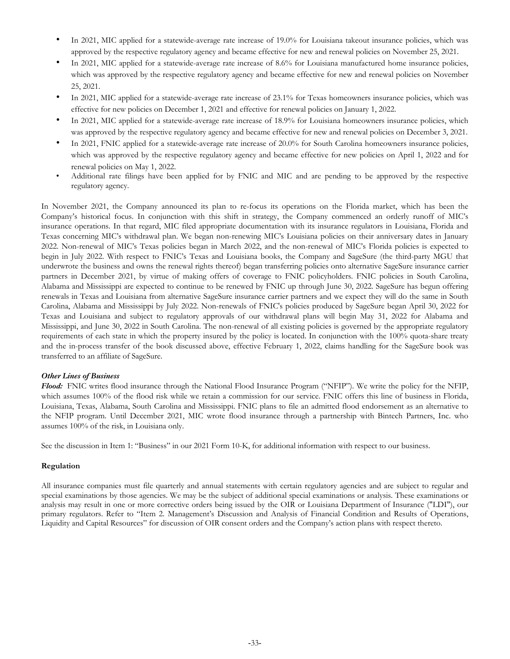- In 2021, MIC applied for a statewide-average rate increase of 19.0% for Louisiana takeout insurance policies, which was approved by the respective regulatory agency and became effective for new and renewal policies on November 25, 2021.
- In 2021, MIC applied for a statewide-average rate increase of 8.6% for Louisiana manufactured home insurance policies, which was approved by the respective regulatory agency and became effective for new and renewal policies on November 25, 2021.
- In 2021, MIC applied for a statewide-average rate increase of 23.1% for Texas homeowners insurance policies, which was effective for new policies on December 1, 2021 and effective for renewal policies on January 1, 2022.
- In 2021, MIC applied for a statewide-average rate increase of 18.9% for Louisiana homeowners insurance policies, which was approved by the respective regulatory agency and became effective for new and renewal policies on December 3, 2021.
- In 2021, FNIC applied for a statewide-average rate increase of 20.0% for South Carolina homeowners insurance policies, which was approved by the respective regulatory agency and became effective for new policies on April 1, 2022 and for renewal policies on May 1, 2022.
- Additional rate filings have been applied for by FNIC and MIC and are pending to be approved by the respective regulatory agency.

In November 2021, the Company announced its plan to re-focus its operations on the Florida market, which has been the Company's historical focus. In conjunction with this shift in strategy, the Company commenced an orderly runoff of MIC's insurance operations. In that regard, MIC filed appropriate documentation with its insurance regulators in Louisiana, Florida and Texas concerning MIC's withdrawal plan. We began non-renewing MIC's Louisiana policies on their anniversary dates in January 2022. Non-renewal of MIC's Texas policies began in March 2022, and the non-renewal of MIC's Florida policies is expected to begin in July 2022. With respect to FNIC's Texas and Louisiana books, the Company and SageSure (the third-party MGU that underwrote the business and owns the renewal rights thereof) began transferring policies onto alternative SageSure insurance carrier partners in December 2021, by virtue of making offers of coverage to FNIC policyholders. FNIC policies in South Carolina, Alabama and Mississippi are expected to continue to be renewed by FNIC up through June 30, 2022. SageSure has begun offering renewals in Texas and Louisiana from alternative SageSure insurance carrier partners and we expect they will do the same in South Carolina, Alabama and Mississippi by July 2022. Non-renewals of FNIC's policies produced by SageSure began April 30, 2022 for Texas and Louisiana and subject to regulatory approvals of our withdrawal plans will begin May 31, 2022 for Alabama and Mississippi, and June 30, 2022 in South Carolina. The non-renewal of all existing policies is governed by the appropriate regulatory requirements of each state in which the property insured by the policy is located. In conjunction with the 100% quota-share treaty and the in-process transfer of the book discussed above, effective February 1, 2022, claims handling for the SageSure book was transferred to an affiliate of SageSure.

#### *Other Lines of Business*

*Flood:*  FNIC writes flood insurance through the National Flood Insurance Program ("NFIP"). We write the policy for the NFIP, which assumes 100% of the flood risk while we retain a commission for our service. FNIC offers this line of business in Florida, Louisiana, Texas, Alabama, South Carolina and Mississippi. FNIC plans to file an admitted flood endorsement as an alternative to the NFIP program. Until December 2021, MIC wrote flood insurance through a partnership with Bintech Partners, Inc. who assumes 100% of the risk, in Louisiana only.

See the discussion in Item 1: "Business" in our 2021 Form 10-K, for additional information with respect to our business.

#### **Regulation**

All insurance companies must file quarterly and annual statements with certain regulatory agencies and are subject to regular and special examinations by those agencies. We may be the subject of additional special examinations or analysis. These examinations or analysis may result in one or more corrective orders being issued by the OIR or Louisiana Department of Insurance ("LDI"), our primary regulators. Refer to "Item 2. Management's Discussion and Analysis of Financial Condition and Results of Operations, Liquidity and Capital Resources" for discussion of OIR consent orders and the Company's action plans with respect thereto.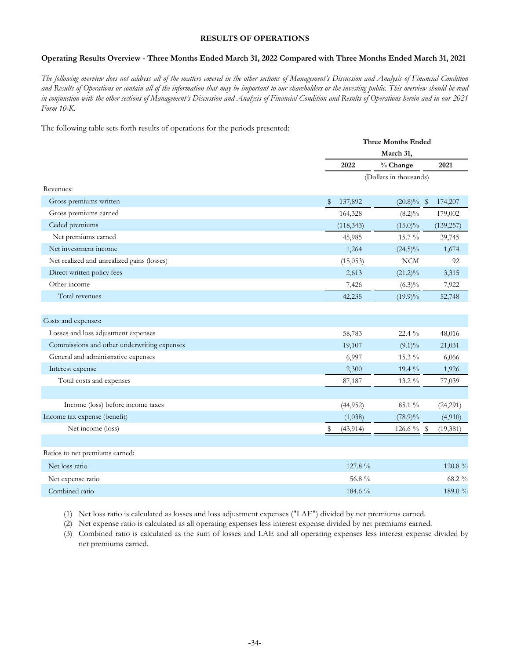# **RESULTS OF OPERATIONS**

#### **Operating Results Overview - Three Months Ended March 31, 2022 Compared with Three Months Ended March 31, 2021**

*The following overview does not address all of the matters covered in the other sections of Management's Discussion and Analysis of Financial Condition and Results of Operations or contain all of the information that may be important to our shareholders or the investing public. This overview should be read in conjunction with the other sections of Management's Discussion and Analysis of Financial Condition and Results of Operations herein and in our 2021 Form 10-K.*

The following table sets forth results of operations for the periods presented:

|                                             | <b>Three Months Ended</b> |                          |
|---------------------------------------------|---------------------------|--------------------------|
|                                             | March 31,                 |                          |
|                                             | % Change<br>2022          | 2021                     |
|                                             | (Dollars in thousands)    |                          |
| Revenues:                                   |                           |                          |
| Gross premiums written                      | \$<br>137,892             | $(20.8)\%$ \$<br>174,207 |
| Gross premiums earned                       | 164,328<br>$(8.2)\%$      | 179,002                  |
| Ceded premiums                              | (118, 343)<br>$(15.0)\%$  | (139,257)                |
| Net premiums earned                         | 45,985<br>15.7 %          | 39,745                   |
| Net investment income                       | 1,264<br>$(24.5)\%$       | 1,674                    |
| Net realized and unrealized gains (losses)  | (15,053)<br><b>NCM</b>    | 92                       |
| Direct written policy fees                  | 2,613<br>$(21.2)\%$       | 3,315                    |
| Other income                                | 7,426<br>$(6.3)\%$        | 7,922                    |
| Total revenues                              | 42,235<br>$(19.9)\%$      | 52,748                   |
|                                             |                           |                          |
| Costs and expenses:                         |                           |                          |
| Losses and loss adjustment expenses         | 58,783<br>22.4 $\%$       | 48,016                   |
| Commissions and other underwriting expenses | 19,107<br>$(9.1)\%$       | 21,031                   |
| General and administrative expenses         | 6,997<br>15.3 %           | 6,066                    |
| Interest expense                            | 2,300<br>19.4 %           | 1,926                    |
| Total costs and expenses                    | 87,187<br>13.2 %          | 77,039                   |
|                                             |                           |                          |
| Income (loss) before income taxes           | (44, 952)<br>85.1 %       | (24,291)                 |
| Income tax expense (benefit)                | (1,038)<br>$(78.9)\%$     | (4,910)                  |
| Net income (loss)                           | (43, 914)<br>\$           | 126.6 % \$<br>(19, 381)  |
|                                             |                           |                          |
| Ratios to net premiums earned:              |                           |                          |
| Net loss ratio                              | 127.8 %                   | 120.8 %                  |
| Net expense ratio                           | 56.8 %                    | 68.2 %                   |
| Combined ratio                              | 184.6 %                   | 189.0 %                  |

(1) Net loss ratio is calculated as losses and loss adjustment expenses ("LAE") divided by net premiums earned.

(2) Net expense ratio is calculated as all operating expenses less interest expense divided by net premiums earned.

(3) Combined ratio is calculated as the sum of losses and LAE and all operating expenses less interest expense divided by net premiums earned.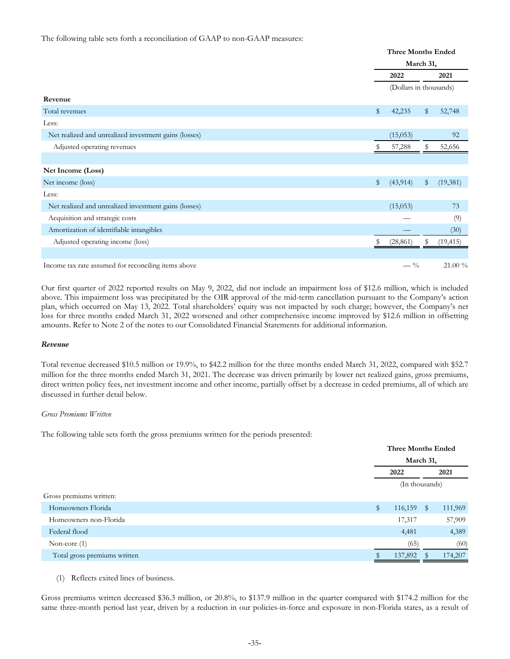The following table sets forth a reconciliation of GAAP to non-GAAP measures:

|                                                       |    | <b>Three Months Ended</b><br>March 31, |       |           |  |  |
|-------------------------------------------------------|----|----------------------------------------|-------|-----------|--|--|
|                                                       |    |                                        |       |           |  |  |
|                                                       |    | 2022                                   |       | 2021      |  |  |
|                                                       |    | (Dollars in thousands)                 |       |           |  |  |
| Revenue                                               |    |                                        |       |           |  |  |
| Total revenues                                        | \$ | 42,235                                 | $\$\$ | 52,748    |  |  |
| Less:                                                 |    |                                        |       |           |  |  |
| Net realized and unrealized investment gains (losses) |    | (15,053)                               |       | 92        |  |  |
| Adjusted operating revenues                           | S  | 57,288                                 | S     | 52,656    |  |  |
|                                                       |    |                                        |       |           |  |  |
| Net Income (Loss)                                     |    |                                        |       |           |  |  |
| Net income (loss)                                     | \$ | (43, 914)                              | \$    | (19,381)  |  |  |
| Less:                                                 |    |                                        |       |           |  |  |
| Net realized and unrealized investment gains (losses) |    | (15,053)                               |       | 73        |  |  |
| Acquisition and strategic costs                       |    |                                        |       | (9)       |  |  |
| Amortization of identifiable intangibles              |    |                                        |       | (30)      |  |  |
| Adjusted operating income (loss)                      | \$ | (28, 861)                              | \$    | (19, 415) |  |  |
|                                                       |    |                                        |       |           |  |  |
| Income tax rate assumed for reconciling items above   |    | $-$ %                                  |       | 21.00 %   |  |  |

Our first quarter of 2022 reported results on May 9, 2022, did not include an impairment loss of \$12.6 million, which is included above. This impairment loss was precipitated by the OIR approval of the mid-term cancellation pursuant to the Company's action plan, which occurred on May 13, 2022. Total shareholders' equity was not impacted by such charge; however, the Company's net loss for three months ended March 31, 2022 worsened and other comprehensive income improved by \$12.6 million in offsetting amounts. Refer to Note 2 of the notes to our Consolidated Financial Statements for additional information.

#### *Revenue*

Total revenue decreased \$10.5 million or 19.9%, to \$42.2 million for the three months ended March 31, 2022, compared with \$52.7 million for the three months ended March 31, 2021. The decrease was driven primarily by lower net realized gains, gross premiums, direct written policy fees, net investment income and other income, partially offset by a decrease in ceded premiums, all of which are discussed in further detail below.

#### *Gross Premiums Written*

The following table sets forth the gross premiums written for the periods presented:

|                              | <b>Three Months Ended</b> |   |         |  |  |
|------------------------------|---------------------------|---|---------|--|--|
|                              | March 31,                 |   |         |  |  |
|                              | 2022                      |   | 2021    |  |  |
|                              | (In thousands)            |   |         |  |  |
| Gross premiums written:      |                           |   |         |  |  |
| Homeowners Florida           | \$<br>116,159             | S | 111,969 |  |  |
| Homeowners non-Florida       | 17,317                    |   | 57,909  |  |  |
| Federal flood                | 4,481                     |   | 4,389   |  |  |
| Non-core $(1)$               | (65)                      |   | (60)    |  |  |
| Total gross premiums written | 137,892                   |   | 174,207 |  |  |

(1) Reflects exited lines of business.

Gross premiums written decreased \$36.3 million, or 20.8%, to \$137.9 million in the quarter compared with \$174.2 million for the same three-month period last year, driven by a reduction in our policies-in-force and exposure in non-Florida states, as a result of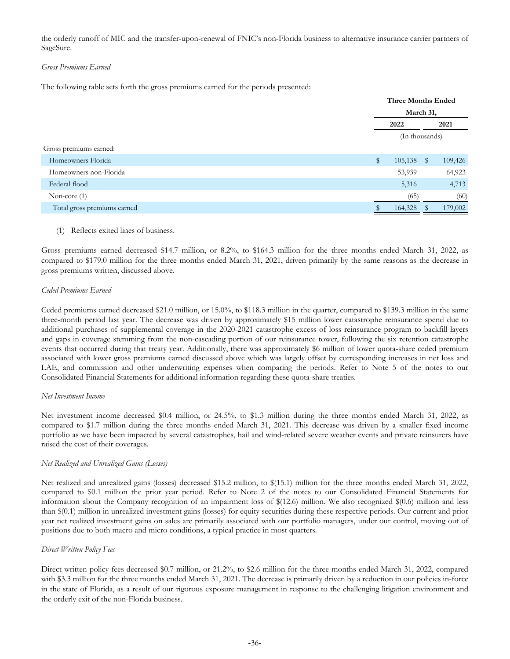the orderly runoff of MIC and the transfer-upon-renewal of FNIC's non-Florida business to alternative insurance carrier partners of SageSure.

### *Gross Premiums Earned*

The following table sets forth the gross premiums earned for the periods presented:

|                             |              | <b>Three Months Ended</b> |   |         |  |  |
|-----------------------------|--------------|---------------------------|---|---------|--|--|
|                             |              | March 31,                 |   |         |  |  |
|                             |              | 2022                      |   | 2021    |  |  |
|                             |              | (In thousands)            |   |         |  |  |
| Gross premiums earned:      |              |                           |   |         |  |  |
| Homeowners Florida          | $\mathbb{S}$ | 105,138                   | S | 109,426 |  |  |
| Homeowners non-Florida      |              | 53,939                    |   | 64,923  |  |  |
| Federal flood               |              | 5,316                     |   | 4,713   |  |  |
| Non-core $(1)$              |              | (65)                      |   | (60)    |  |  |
| Total gross premiums earned |              | 164,328                   |   | 179,002 |  |  |

### (1) Reflects exited lines of business.

Gross premiums earned decreased \$14.7 million, or 8.2%, to \$164.3 million for the three months ended March 31, 2022, as compared to \$179.0 million for the three months ended March 31, 2021, driven primarily by the same reasons as the decrease in gross premiums written, discussed above.

### *Ceded Premiums Earned*

Ceded premiums earned decreased \$21.0 million, or 15.0%, to \$118.3 million in the quarter, compared to \$139.3 million in the same three-month period last year. The decrease was driven by approximately \$15 million lower catastrophe reinsurance spend due to additional purchases of supplemental coverage in the 2020-2021 catastrophe excess of loss reinsurance program to backfill layers and gaps in coverage stemming from the non-cascading portion of our reinsurance tower, following the six retention catastrophe events that occurred during that treaty year. Additionally, there was approximately \$6 million of lower quota-share ceded premium associated with lower gross premiums earned discussed above which was largely offset by corresponding increases in net loss and LAE, and commission and other underwriting expenses when comparing the periods. Refer to Note 5 of the notes to our Consolidated Financial Statements for additional information regarding these quota-share treaties.

# *Net Investment Income*

Net investment income decreased \$0.4 million, or 24.5%, to \$1.3 million during the three months ended March 31, 2022, as compared to \$1.7 million during the three months ended March 31, 2021. This decrease was driven by a smaller fixed income portfolio as we have been impacted by several catastrophes, hail and wind-related severe weather events and private reinsurers have raised the cost of their coverages.

# *Net Realized and Unrealized Gains (Losses)*

Net realized and unrealized gains (losses) decreased \$15.2 million, to \$(15.1) million for the three months ended March 31, 2022, compared to \$0.1 million the prior year period. Refer to Note 2 of the notes to our Consolidated Financial Statements for information about the Company recognition of an impairment loss of \$(12.6) million. We also recognized \$(0.6) million and less than \$(0.1) million in unrealized investment gains (losses) for equity securities during these respective periods. Our current and prior year net realized investment gains on sales are primarily associated with our portfolio managers, under our control, moving out of positions due to both macro and micro conditions, a typical practice in most quarters.

# *Direct Written Policy Fees*

Direct written policy fees decreased \$0.7 million, or 21.2%, to \$2.6 million for the three months ended March 31, 2022, compared with \$3.3 million for the three months ended March 31, 2021. The decrease is primarily driven by a reduction in our policies in-force in the state of Florida, as a result of our rigorous exposure management in response to the challenging litigation environment and the orderly exit of the non-Florida business.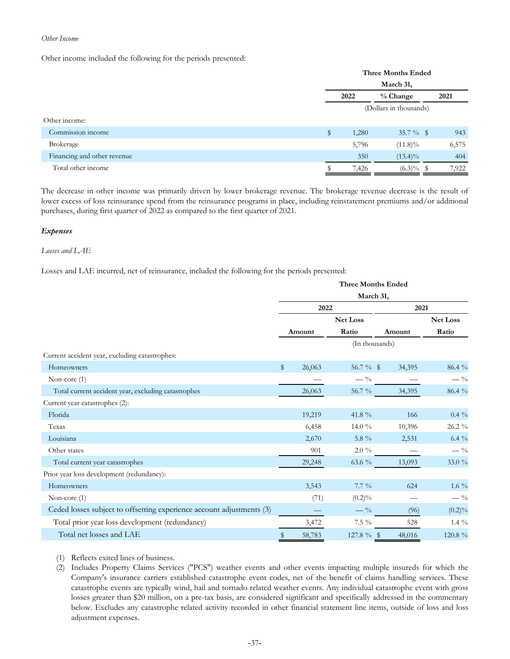## *Other Income*

Other income included the following for the periods presented:

|                             | <b>Three Months Ended</b> |       |              |  |       |  |  |  |
|-----------------------------|---------------------------|-------|--------------|--|-------|--|--|--|
|                             | March 31,                 |       |              |  |       |  |  |  |
|                             | 2022                      |       | % Change     |  | 2021  |  |  |  |
|                             | (Dollars in thousands)    |       |              |  |       |  |  |  |
| Other income:               |                           |       |              |  |       |  |  |  |
| Commission income           | \$                        | 1,280 | 35.7 $\%$ \$ |  | 943   |  |  |  |
| Brokerage                   |                           | 5,796 | $(11.8)\%$   |  | 6,575 |  |  |  |
| Financing and other revenue |                           | 350   | $(13.4)\%$   |  | 404   |  |  |  |
| Total other income          |                           | 7,426 | $(6.3)\%$ \$ |  | 7,922 |  |  |  |

The decrease in other income was primarily driven by lower brokerage revenue. The brokerage revenue decrease is the result of lower excess of loss reinsurance spend from the reinsurance programs in place, including reinstatement premiums and/or additional purchases, during first quarter of 2022 as compared to the first quarter of 2021.

### *Expenses*

### *Losses and LAE*

Losses and LAE incurred, net of reinsurance, included the following for the periods presented:

|                                                                       | <b>Three Months Ended</b> |        |             |                |                 |  |  |  |  |
|-----------------------------------------------------------------------|---------------------------|--------|-------------|----------------|-----------------|--|--|--|--|
|                                                                       | March 31,                 |        |             |                |                 |  |  |  |  |
|                                                                       | 2022                      |        |             | 2021           |                 |  |  |  |  |
|                                                                       |                           |        | Net Loss    |                | <b>Net Loss</b> |  |  |  |  |
|                                                                       |                           | Amount | Ratio       | Amount         | Ratio           |  |  |  |  |
|                                                                       |                           |        |             | (In thousands) |                 |  |  |  |  |
| Current accident year, excluding catastrophes:                        |                           |        |             |                |                 |  |  |  |  |
| Homeowners                                                            | \$                        | 26,063 | 56.7 $%$ \$ | 34,395         | 86.4 %          |  |  |  |  |
| Non-core (1)                                                          |                           |        | $-$ %       |                | $-$ %           |  |  |  |  |
| Total current accident year, excluding catastrophes                   |                           | 26,063 | 56.7 %      | 34,395         | 86.4 %          |  |  |  |  |
| Current year catastrophes (2):                                        |                           |        |             |                |                 |  |  |  |  |
| Florida                                                               |                           | 19,219 | 41.8 %      | 166            | $0.4\%$         |  |  |  |  |
| Texas                                                                 |                           | 6,458  | 14.0 $\%$   | 10,396         | 26.2 %          |  |  |  |  |
| Louisiana                                                             |                           | 2,670  | 5.8 $\%$    | 2,531          | 6.4 $%$         |  |  |  |  |
| Other states                                                          |                           | 901    | $2.0\%$     |                | $-$ %           |  |  |  |  |
| Total current year catastrophes                                       |                           | 29,248 | $63.6\;\%$  | 13,093         | $33.0\,\,\%$    |  |  |  |  |
| Prior year loss development (redundancy):                             |                           |        |             |                |                 |  |  |  |  |
| Homeowners                                                            |                           | 3,543  | $7.7\%$     | 624            | 1.6 $\%$        |  |  |  |  |
| Non-core $(1)$                                                        |                           | (71)   | $(0.2)\%$   |                | $-$ %           |  |  |  |  |
| Ceded losses subject to offsetting experience account adjustments (3) |                           |        | $-$ %       | (96)           | $(0.2)\%$       |  |  |  |  |
| Total prior year loss development (redundancy)                        |                           | 3,472  | $7.5\%$     | 528            | $1.4\%$         |  |  |  |  |
| Total net losses and LAE                                              |                           | 58,783 | 127.8 %     | 48,016         | 120.8 %         |  |  |  |  |
|                                                                       |                           |        |             |                |                 |  |  |  |  |

(1) Reflects exited lines of business.

(2) Includes Property Claims Services ("PCS") weather events and other events impacting multiple insureds for which the Company's insurance carriers established catastrophe event codes, net of the benefit of claims handling services. These catastrophe events are typically wind, hail and tornado related weather events. Any individual catastrophe event with gross losses greater than \$20 million, on a pre-tax basis, are considered significant and specifically addressed in the commentary below. Excludes any catastrophe related activity recorded in other financial statement line items, outside of loss and loss adjustment expenses.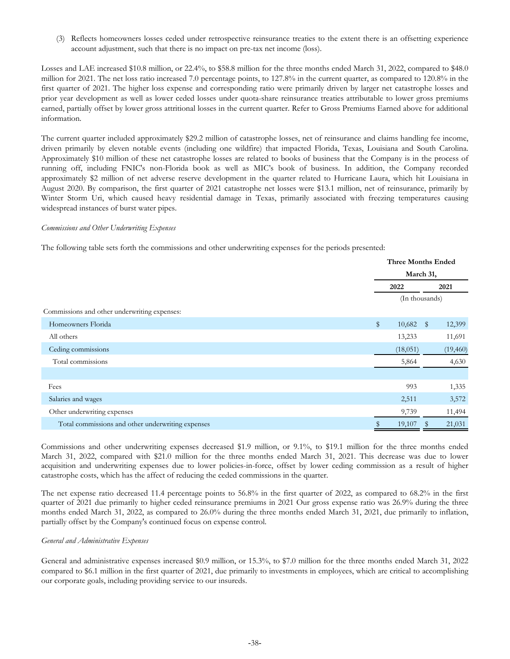(3) Reflects homeowners losses ceded under retrospective reinsurance treaties to the extent there is an offsetting experience account adjustment, such that there is no impact on pre-tax net income (loss).

Losses and LAE increased \$10.8 million, or 22.4%, to \$58.8 million for the three months ended March 31, 2022, compared to \$48.0 million for 2021. The net loss ratio increased 7.0 percentage points, to 127.8% in the current quarter, as compared to 120.8% in the first quarter of 2021. The higher loss expense and corresponding ratio were primarily driven by larger net catastrophe losses and prior year development as well as lower ceded losses under quota-share reinsurance treaties attributable to lower gross premiums earned, partially offset by lower gross attritional losses in the current quarter. Refer to Gross Premiums Earned above for additional information.

The current quarter included approximately \$29.2 million of catastrophe losses, net of reinsurance and claims handling fee income, driven primarily by eleven notable events (including one wildfire) that impacted Florida, Texas, Louisiana and South Carolina. Approximately \$10 million of these net catastrophe losses are related to books of business that the Company is in the process of running off, including FNIC's non-Florida book as well as MIC's book of business. In addition, the Company recorded approximately \$2 million of net adverse reserve development in the quarter related to Hurricane Laura, which hit Louisiana in August 2020. By comparison, the first quarter of 2021 catastrophe net losses were \$13.1 million, net of reinsurance, primarily by Winter Storm Uri, which caused heavy residential damage in Texas, primarily associated with freezing temperatures causing widespread instances of burst water pipes.

#### *Commissions and Other Underwriting Expenses*

The following table sets forth the commissions and other underwriting expenses for the periods presented:

|                                                   | <b>Three Months Ended</b> |                |    |          |  |  |
|---------------------------------------------------|---------------------------|----------------|----|----------|--|--|
|                                                   |                           | March 31,      |    |          |  |  |
|                                                   |                           | 2022           |    | 2021     |  |  |
|                                                   |                           | (In thousands) |    |          |  |  |
| Commissions and other underwriting expenses:      |                           |                |    |          |  |  |
| Homeowners Florida                                | \$                        | 10,682         | \$ | 12,399   |  |  |
| All others                                        |                           | 13,233         |    | 11,691   |  |  |
| Ceding commissions                                |                           | (18,051)       |    | (19,460) |  |  |
| Total commissions                                 |                           | 5,864          |    | 4,630    |  |  |
|                                                   |                           |                |    |          |  |  |
| Fees                                              |                           | 993            |    | 1,335    |  |  |
| Salaries and wages                                |                           | 2,511          |    | 3,572    |  |  |
| Other underwriting expenses                       |                           | 9,739          |    | 11,494   |  |  |
| Total commissions and other underwriting expenses |                           | 19,107         | Y  | 21,031   |  |  |

Commissions and other underwriting expenses decreased \$1.9 million, or 9.1%, to \$19.1 million for the three months ended March 31, 2022, compared with \$21.0 million for the three months ended March 31, 2021. This decrease was due to lower acquisition and underwriting expenses due to lower policies-in-force, offset by lower ceding commission as a result of higher catastrophe costs, which has the affect of reducing the ceded commissions in the quarter.

The net expense ratio decreased 11.4 percentage points to 56.8% in the first quarter of 2022, as compared to 68.2% in the first quarter of 2021 due primarily to higher ceded reinsurance premiums in 2021 Our gross expense ratio was 26.9% during the three months ended March 31, 2022, as compared to 26.0% during the three months ended March 31, 2021, due primarily to inflation, partially offset by the Company's continued focus on expense control.

#### *General and Administrative Expenses*

General and administrative expenses increased \$0.9 million, or 15.3%, to \$7.0 million for the three months ended March 31, 2022 compared to \$6.1 million in the first quarter of 2021, due primarily to investments in employees, which are critical to accomplishing our corporate goals, including providing service to our insureds.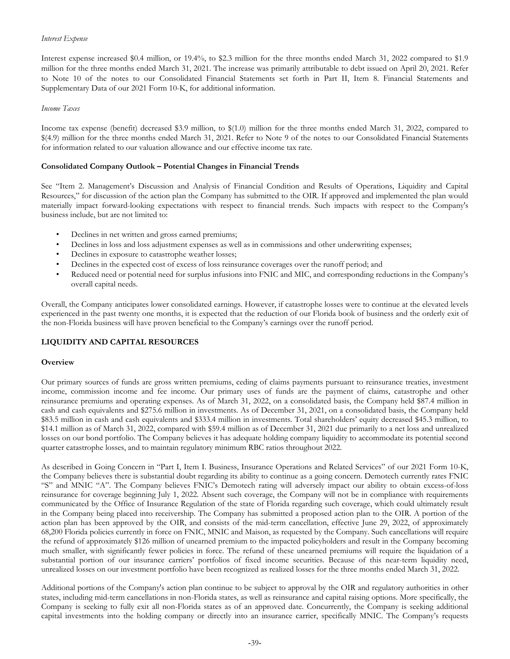### *Interest Expense*

Interest expense increased \$0.4 million, or 19.4%, to \$2.3 million for the three months ended March 31, 2022 compared to \$1.9 million for the three months ended March 31, 2021. The increase was primarily attributable to debt issued on April 20, 2021. Refer to Note 10 of the notes to our Consolidated Financial Statements set forth in Part II, Item 8. Financial Statements and Supplementary Data of our 2021 Form 10-K, for additional information.

#### *Income Taxes*

Income tax expense (benefit) decreased \$3.9 million, to \$(1.0) million for the three months ended March 31, 2022, compared to \$(4.9) million for the three months ended March 31, 2021. Refer to Note 9 of the notes to our Consolidated Financial Statements for information related to our valuation allowance and our effective income tax rate.

### **Consolidated Company Outlook – Potential Changes in Financial Trends**

See "Item 2. Management's Discussion and Analysis of Financial Condition and Results of Operations, Liquidity and Capital Resources," for discussion of the action plan the Company has submitted to the OIR. If approved and implemented the plan would materially impact forward-looking expectations with respect to financial trends. Such impacts with respect to the Company's business include, but are not limited to:

- Declines in net written and gross earned premiums;
- Declines in loss and loss adjustment expenses as well as in commissions and other underwriting expenses;
- Declines in exposure to catastrophe weather losses;
- Declines in the expected cost of excess of loss reinsurance coverages over the runoff period; and
- Reduced need or potential need for surplus infusions into FNIC and MIC, and corresponding reductions in the Company's overall capital needs.

Overall, the Company anticipates lower consolidated earnings. However, if catastrophe losses were to continue at the elevated levels experienced in the past twenty one months, it is expected that the reduction of our Florida book of business and the orderly exit of the non-Florida business will have proven beneficial to the Company's earnings over the runoff period.

# **LIQUIDITY AND CAPITAL RESOURCES**

#### **Overview**

Our primary sources of funds are gross written premiums, ceding of claims payments pursuant to reinsurance treaties, investment income, commission income and fee income. Our primary uses of funds are the payment of claims, catastrophe and other reinsurance premiums and operating expenses. As of March 31, 2022, on a consolidated basis, the Company held \$87.4 million in cash and cash equivalents and \$275.6 million in investments. As of December 31, 2021, on a consolidated basis, the Company held \$83.5 million in cash and cash equivalents and \$333.4 million in investments. Total shareholders' equity decreased \$45.3 million, to \$14.1 million as of March 31, 2022, compared with \$59.4 million as of December 31, 2021 due primarily to a net loss and unrealized losses on our bond portfolio. The Company believes it has adequate holding company liquidity to accommodate its potential second quarter catastrophe losses, and to maintain regulatory minimum RBC ratios throughout 2022.

As described in Going Concern in "Part I, Item I. Business, Insurance Operations and Related Services" of our 2021 Form 10-K, the Company believes there is substantial doubt regarding its ability to continue as a going concern. Demotech currently rates FNIC "S" and MNIC "A". The Company believes FNIC's Demotech rating will adversely impact our ability to obtain excess-of-loss reinsurance for coverage beginning July 1, 2022. Absent such coverage, the Company will not be in compliance with requirements communicated by the Office of Insurance Regulation of the state of Florida regarding such coverage, which could ultimately result in the Company being placed into receivership. The Company has submitted a proposed action plan to the OIR. A portion of the action plan has been approved by the OIR, and consists of the mid-term cancellation, effective June 29, 2022, of approximately 68,200 Florida policies currently in force on FNIC, MNIC and Maison, as requested by the Company. Such cancellations will require the refund of approximately \$126 million of unearned premium to the impacted policyholders and result in the Company becoming much smaller, with significantly fewer policies in force. The refund of these unearned premiums will require the liquidation of a substantial portion of our insurance carriers' portfolios of fixed income securities. Because of this near-term liquidity need, unrealized losses on our investment portfolio have been recognized as realized losses for the three months ended March 31, 2022.

Additional portions of the Company's action plan continue to be subject to approval by the OIR and regulatory authorities in other states, including mid-term cancellations in non-Florida states, as well as reinsurance and capital raising options. More specifically, the Company is seeking to fully exit all non-Florida states as of an approved date. Concurrently, the Company is seeking additional capital investments into the holding company or directly into an insurance carrier, specifically MNIC. The Company's requests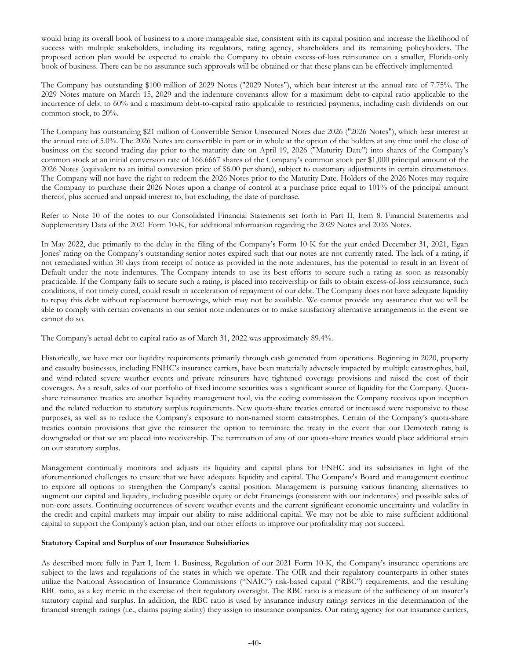would bring its overall book of business to a more manageable size, consistent with its capital position and increase the likelihood of success with multiple stakeholders, including its regulators, rating agency, shareholders and its remaining policyholders. The proposed action plan would be expected to enable the Company to obtain excess-of-loss reinsurance on a smaller, Florida-only book of business. There can be no assurance such approvals will be obtained or that these plans can be effectively implemented.

The Company has outstanding \$100 million of 2029 Notes ("2029 Notes"), which bear interest at the annual rate of 7.75%. The 2029 Notes mature on March 15, 2029 and the indenture covenants allow for a maximum debt-to-capital ratio applicable to the incurrence of debt to 60% and a maximum debt-to-capital ratio applicable to restricted payments, including cash dividends on our common stock, to 20%.

The Company has outstanding \$21 million of Convertible Senior Unsecured Notes due 2026 ("2026 Notes"), which bear interest at the annual rate of 5.0%. The 2026 Notes are convertible in part or in whole at the option of the holders at any time until the close of business on the second trading day prior to the maturity date on April 19, 2026 ("Maturity Date") into shares of the Company's common stock at an initial conversion rate of 166.6667 shares of the Company's common stock per \$1,000 principal amount of the 2026 Notes (equivalent to an initial conversion price of \$6.00 per share), subject to customary adjustments in certain circumstances. The Company will not have the right to redeem the 2026 Notes prior to the Maturity Date. Holders of the 2026 Notes may require the Company to purchase their 2026 Notes upon a change of control at a purchase price equal to 101% of the principal amount thereof, plus accrued and unpaid interest to, but excluding, the date of purchase.

Refer to Note 10 of the notes to our Consolidated Financial Statements set forth in Part II, Item 8. Financial Statements and Supplementary Data of the 2021 Form 10-K, for additional information regarding the 2029 Notes and 2026 Notes.

In May 2022, due primarily to the delay in the filing of the Company's Form 10-K for the year ended December 31, 2021, Egan Jones' rating on the Company's outstanding senior notes expired such that our notes are not currently rated. The lack of a rating, if not remediated within 30 days from receipt of notice as provided in the note indentures, has the potential to result in an Event of Default under the note indentures. The Company intends to use its best efforts to secure such a rating as soon as reasonably practicable. If the Company fails to secure such a rating, is placed into receivership or fails to obtain excess-of-loss reinsurance, such conditions, if not timely cured, could result in acceleration of repayment of our debt. The Company does not have adequate liquidity to repay this debt without replacement borrowings, which may not be available. We cannot provide any assurance that we will be able to comply with certain covenants in our senior note indentures or to make satisfactory alternative arrangements in the event we cannot do so.

The Company's actual debt to capital ratio as of March 31, 2022 was approximately 89.4%.

Historically, we have met our liquidity requirements primarily through cash generated from operations. Beginning in 2020, property and casualty businesses, including FNHC's insurance carriers, have been materially adversely impacted by multiple catastrophes, hail, and wind-related severe weather events and private reinsurers have tightened coverage provisions and raised the cost of their coverages. As a result, sales of our portfolio of fixed income securities was a significant source of liquidity for the Company. Quotashare reinsurance treaties are another liquidity management tool, via the ceding commission the Company receives upon inception and the related reduction to statutory surplus requirements. New quota-share treaties entered or increased were responsive to these purposes, as well as to reduce the Company's exposure to non-named storm catastrophes. Certain of the Company's quota-share treaties contain provisions that give the reinsurer the option to terminate the treaty in the event that our Demotech rating is downgraded or that we are placed into receivership. The termination of any of our quota-share treaties would place additional strain on our statutory surplus.

Management continually monitors and adjusts its liquidity and capital plans for FNHC and its subsidiaries in light of the aforementioned challenges to ensure that we have adequate liquidity and capital. The Company's Board and management continue to explore all options to strengthen the Company's capital position. Management is pursuing various financing alternatives to augment our capital and liquidity, including possible equity or debt financings (consistent with our indentures) and possible sales of non-core assets. Continuing occurrences of severe weather events and the current significant economic uncertainty and volatility in the credit and capital markets may impair our ability to raise additional capital. We may not be able to raise sufficient additional capital to support the Company's action plan, and our other efforts to improve our profitability may not succeed.

# **Statutory Capital and Surplus of our Insurance Subsidiaries**

As described more fully in Part I, Item 1. Business, Regulation of our 2021 Form 10-K, the Company's insurance operations are subject to the laws and regulations of the states in which we operate. The OIR and their regulatory counterparts in other states utilize the National Association of Insurance Commissions ("NAIC") risk-based capital ("RBC") requirements, and the resulting RBC ratio, as a key metric in the exercise of their regulatory oversight. The RBC ratio is a measure of the sufficiency of an insurer's statutory capital and surplus. In addition, the RBC ratio is used by insurance industry ratings services in the determination of the financial strength ratings (i.e., claims paying ability) they assign to insurance companies. Our rating agency for our insurance carriers,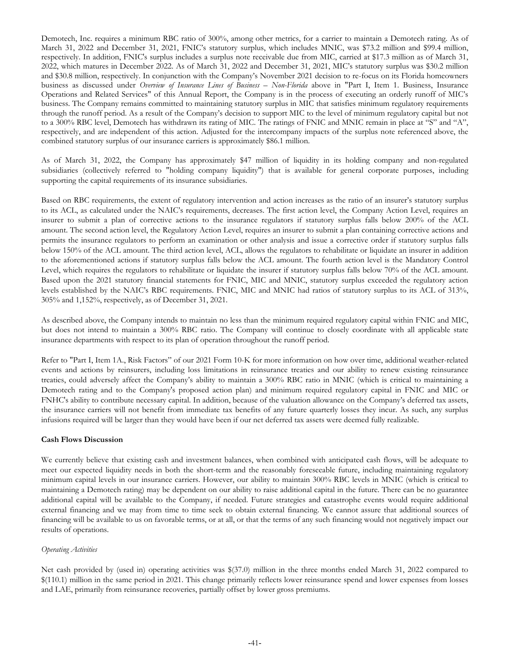Demotech, Inc. requires a minimum RBC ratio of 300%, among other metrics, for a carrier to maintain a Demotech rating. As of March 31, 2022 and December 31, 2021, FNIC's statutory surplus, which includes MNIC, was \$73.2 million and \$99.4 million, respectively. In addition, FNIC's surplus includes a surplus note receivable due from MIC, carried at \$17.3 million as of March 31, 2022, which matures in December 2022. As of March 31, 2022 and December 31, 2021, MIC's statutory surplus was \$30.2 million and \$30.8 million, respectively. In conjunction with the Company's November 2021 decision to re-focus on its Florida homeowners business as discussed under *Overview of Insurance Lines of Business – Non-Florida* above in "Part I, Item 1. Business, Insurance Operations and Related Services" of this Annual Report, the Company is in the process of executing an orderly runoff of MIC's business. The Company remains committed to maintaining statutory surplus in MIC that satisfies minimum regulatory requirements through the runoff period. As a result of the Company's decision to support MIC to the level of minimum regulatory capital but not to a 300% RBC level, Demotech has withdrawn its rating of MIC. The ratings of FNIC and MNIC remain in place at "S" and "A", respectively, and are independent of this action. Adjusted for the intercompany impacts of the surplus note referenced above, the combined statutory surplus of our insurance carriers is approximately \$86.1 million.

As of March 31, 2022, the Company has approximately \$47 million of liquidity in its holding company and non-regulated subsidiaries (collectively referred to "holding company liquidity") that is available for general corporate purposes, including supporting the capital requirements of its insurance subsidiaries.

Based on RBC requirements, the extent of regulatory intervention and action increases as the ratio of an insurer's statutory surplus to its ACL, as calculated under the NAIC's requirements, decreases. The first action level, the Company Action Level, requires an insurer to submit a plan of corrective actions to the insurance regulators if statutory surplus falls below 200% of the ACL amount. The second action level, the Regulatory Action Level, requires an insurer to submit a plan containing corrective actions and permits the insurance regulators to perform an examination or other analysis and issue a corrective order if statutory surplus falls below 150% of the ACL amount. The third action level, ACL, allows the regulators to rehabilitate or liquidate an insurer in addition to the aforementioned actions if statutory surplus falls below the ACL amount. The fourth action level is the Mandatory Control Level, which requires the regulators to rehabilitate or liquidate the insurer if statutory surplus falls below 70% of the ACL amount. Based upon the 2021 statutory financial statements for FNIC, MIC and MNIC, statutory surplus exceeded the regulatory action levels established by the NAIC's RBC requirements. FNIC, MIC and MNIC had ratios of statutory surplus to its ACL of 313%, 305% and 1,152%, respectively, as of December 31, 2021.

As described above, the Company intends to maintain no less than the minimum required regulatory capital within FNIC and MIC, but does not intend to maintain a 300% RBC ratio. The Company will continue to closely coordinate with all applicable state insurance departments with respect to its plan of operation throughout the runoff period.

Refer to "Part I, Item 1A., Risk Factors" of our 2021 Form 10-K for more information on how over time, additional weather-related events and actions by reinsurers, including loss limitations in reinsurance treaties and our ability to renew existing reinsurance treaties, could adversely affect the Company's ability to maintain a 300% RBC ratio in MNIC (which is critical to maintaining a Demotech rating and to the Company's proposed action plan) and minimum required regulatory capital in FNIC and MIC or FNHC's ability to contribute necessary capital. In addition, because of the valuation allowance on the Company's deferred tax assets, the insurance carriers will not benefit from immediate tax benefits of any future quarterly losses they incur. As such, any surplus infusions required will be larger than they would have been if our net deferred tax assets were deemed fully realizable.

# **Cash Flows Discussion**

We currently believe that existing cash and investment balances, when combined with anticipated cash flows, will be adequate to meet our expected liquidity needs in both the short-term and the reasonably foreseeable future, including maintaining regulatory minimum capital levels in our insurance carriers. However, our ability to maintain 300% RBC levels in MNIC (which is critical to maintaining a Demotech rating) may be dependent on our ability to raise additional capital in the future. There can be no guarantee additional capital will be available to the Company, if needed. Future strategies and catastrophe events would require additional external financing and we may from time to time seek to obtain external financing. We cannot assure that additional sources of financing will be available to us on favorable terms, or at all, or that the terms of any such financing would not negatively impact our results of operations.

# *Operating Activities*

Net cash provided by (used in) operating activities was \$(37.0) million in the three months ended March 31, 2022 compared to \$(110.1) million in the same period in 2021. This change primarily reflects lower reinsurance spend and lower expenses from losses and LAE, primarily from reinsurance recoveries, partially offset by lower gross premiums.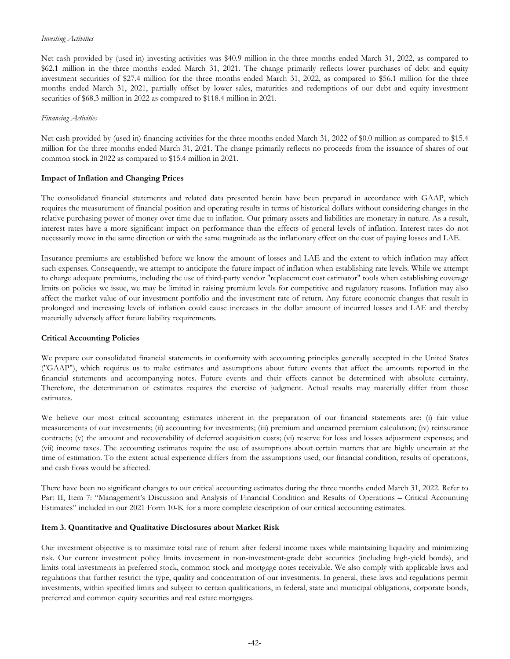#### <span id="page-43-0"></span>*Investing Activities*

Net cash provided by (used in) investing activities was \$40.9 million in the three months ended March 31, 2022, as compared to \$62.1 million in the three months ended March 31, 2021. The change primarily reflects lower purchases of debt and equity investment securities of \$27.4 million for the three months ended March 31, 2022, as compared to \$56.1 million for the three months ended March 31, 2021, partially offset by lower sales, maturities and redemptions of our debt and equity investment securities of \$68.3 million in 2022 as compared to \$118.4 million in 2021.

#### *Financing Activities*

Net cash provided by (used in) financing activities for the three months ended March 31, 2022 of \$0.0 million as compared to \$15.4 million for the three months ended March 31, 2021. The change primarily reflects no proceeds from the issuance of shares of our common stock in 2022 as compared to \$15.4 million in 2021.

#### **Impact of Inflation and Changing Prices**

The consolidated financial statements and related data presented herein have been prepared in accordance with GAAP, which requires the measurement of financial position and operating results in terms of historical dollars without considering changes in the relative purchasing power of money over time due to inflation. Our primary assets and liabilities are monetary in nature. As a result, interest rates have a more significant impact on performance than the effects of general levels of inflation. Interest rates do not necessarily move in the same direction or with the same magnitude as the inflationary effect on the cost of paying losses and LAE.

Insurance premiums are established before we know the amount of losses and LAE and the extent to which inflation may affect such expenses. Consequently, we attempt to anticipate the future impact of inflation when establishing rate levels. While we attempt to charge adequate premiums, including the use of third-party vendor "replacement cost estimator" tools when establishing coverage limits on policies we issue, we may be limited in raising premium levels for competitive and regulatory reasons. Inflation may also affect the market value of our investment portfolio and the investment rate of return. Any future economic changes that result in prolonged and increasing levels of inflation could cause increases in the dollar amount of incurred losses and LAE and thereby materially adversely affect future liability requirements.

#### **Critical Accounting Policies**

We prepare our consolidated financial statements in conformity with accounting principles generally accepted in the United States ("GAAP"), which requires us to make estimates and assumptions about future events that affect the amounts reported in the financial statements and accompanying notes. Future events and their effects cannot be determined with absolute certainty. Therefore, the determination of estimates requires the exercise of judgment. Actual results may materially differ from those estimates.

We believe our most critical accounting estimates inherent in the preparation of our financial statements are: (i) fair value measurements of our investments; (ii) accounting for investments; (iii) premium and unearned premium calculation; (iv) reinsurance contracts; (v) the amount and recoverability of deferred acquisition costs; (vi) reserve for loss and losses adjustment expenses; and (vii) income taxes. The accounting estimates require the use of assumptions about certain matters that are highly uncertain at the time of estimation. To the extent actual experience differs from the assumptions used, our financial condition, results of operations, and cash flows would be affected.

There have been no significant changes to our critical accounting estimates during the three months ended March 31, 2022. Refer to Part II, Item 7: "Management's Discussion and Analysis of Financial Condition and Results of Operations – Critical Accounting Estimates" included in our 2021 Form 10-K for a more complete description of our critical accounting estimates.

#### **Item 3. Quantitative and Qualitative Disclosures about Market Risk**

Our investment objective is to maximize total rate of return after federal income taxes while maintaining liquidity and minimizing risk. Our current investment policy limits investment in non-investment-grade debt securities (including high-yield bonds), and limits total investments in preferred stock, common stock and mortgage notes receivable. We also comply with applicable laws and regulations that further restrict the type, quality and concentration of our investments. In general, these laws and regulations permit investments, within specified limits and subject to certain qualifications, in federal, state and municipal obligations, corporate bonds, preferred and common equity securities and real estate mortgages.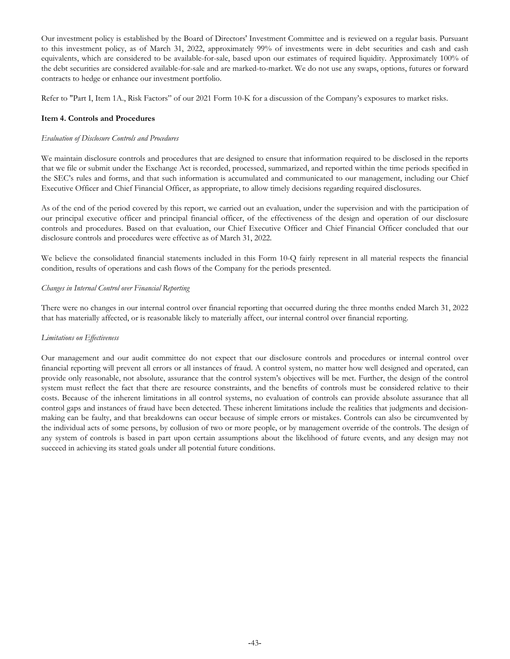<span id="page-44-0"></span>Our investment policy is established by the Board of Directors' Investment Committee and is reviewed on a regular basis. Pursuant to this investment policy, as of March 31, 2022, approximately 99% of investments were in debt securities and cash and cash equivalents, which are considered to be available-for-sale, based upon our estimates of required liquidity. Approximately 100% of the debt securities are considered available-for-sale and are marked-to-market. We do not use any swaps, options, futures or forward contracts to hedge or enhance our investment portfolio.

Refer to "Part I, Item 1A., Risk Factors" of our 2021 Form 10-K for a discussion of the Company's exposures to market risks.

### **Item 4. Controls and Procedures**

## *Evaluation of Disclosure Controls and Procedures*

We maintain disclosure controls and procedures that are designed to ensure that information required to be disclosed in the reports that we file or submit under the Exchange Act is recorded, processed, summarized, and reported within the time periods specified in the SEC's rules and forms, and that such information is accumulated and communicated to our management, including our Chief Executive Officer and Chief Financial Officer, as appropriate, to allow timely decisions regarding required disclosures.

As of the end of the period covered by this report, we carried out an evaluation, under the supervision and with the participation of our principal executive officer and principal financial officer, of the effectiveness of the design and operation of our disclosure controls and procedures. Based on that evaluation, our Chief Executive Officer and Chief Financial Officer concluded that our disclosure controls and procedures were effective as of March 31, 2022.

We believe the consolidated financial statements included in this Form 10-Q fairly represent in all material respects the financial condition, results of operations and cash flows of the Company for the periods presented.

### *Changes in Internal Control over Financial Reporting*

There were no changes in our internal control over financial reporting that occurred during the three months ended March 31, 2022 that has materially affected, or is reasonable likely to materially affect, our internal control over financial reporting.

#### *Limitations on Effectiveness*

Our management and our audit committee do not expect that our disclosure controls and procedures or internal control over financial reporting will prevent all errors or all instances of fraud. A control system, no matter how well designed and operated, can provide only reasonable, not absolute, assurance that the control system's objectives will be met. Further, the design of the control system must reflect the fact that there are resource constraints, and the benefits of controls must be considered relative to their costs. Because of the inherent limitations in all control systems, no evaluation of controls can provide absolute assurance that all control gaps and instances of fraud have been detected. These inherent limitations include the realities that judgments and decisionmaking can be faulty, and that breakdowns can occur because of simple errors or mistakes. Controls can also be circumvented by the individual acts of some persons, by collusion of two or more people, or by management override of the controls. The design of any system of controls is based in part upon certain assumptions about the likelihood of future events, and any design may not succeed in achieving its stated goals under all potential future conditions.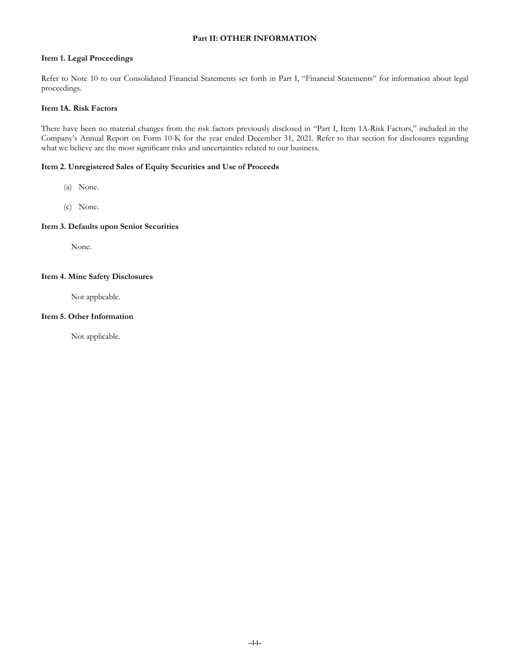# **Part II: OTHER INFORMATION**

### <span id="page-45-0"></span>**Item 1. Legal Proceedings**

Refer to Note 10 to our Consolidated Financial Statements set forth in Part I, "Financial Statements" for information about legal proceedings.

## **Item 1A. Risk Factors**

There have been no material changes from the risk factors previously disclosed in "Part I, Item 1A-Risk Factors," included in the Company's Annual Report on Form 10-K for the year ended December 31, 2021. Refer to that section for disclosures regarding what we believe are the most significant risks and uncertainties related to our business.

#### **Item 2. Unregistered Sales of Equity Securities and Use of Proceeds**

- (a) None.
- (c) None.

### **Item 3. Defaults upon Senior Securities**

None.

#### **Item 4. Mine Safety Disclosures**

Not applicable.

### **Item 5. Other Information**

Not applicable.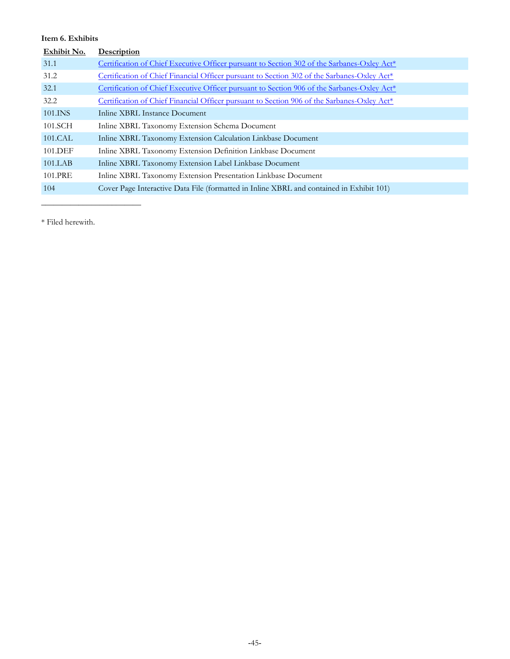# <span id="page-46-0"></span>**Item 6. Exhibits**

| Exhibit No. | Description                                                                                 |
|-------------|---------------------------------------------------------------------------------------------|
| 31.1        | Certification of Chief Executive Officer pursuant to Section 302 of the Sarbanes-Oxley Act* |
| 31.2        | Certification of Chief Financial Officer pursuant to Section 302 of the Sarbanes-Oxley Act* |
| 32.1        | Certification of Chief Executive Officer pursuant to Section 906 of the Sarbanes-Oxley Act* |
| 32.2        | Certification of Chief Financial Officer pursuant to Section 906 of the Sarbanes-Oxley Act* |
| 101.INS     | Inline XBRL Instance Document                                                               |
| 101.SCH     | Inline XBRL Taxonomy Extension Schema Document                                              |
| 101.CAL     | Inline XBRL Taxonomy Extension Calculation Linkbase Document                                |
| 101.DEF     | Inline XBRL Taxonomy Extension Definition Linkbase Document                                 |
| 101.LAB     | Inline XBRL Taxonomy Extension Label Linkbase Document                                      |
| 101.PRE     | Inline XBRL Taxonomy Extension Presentation Linkbase Document                               |
| 104         | Cover Page Interactive Data File (formatted in Inline XBRL and contained in Exhibit 101)    |

\* Filed herewith.

 $\overline{\phantom{a}}$  , where  $\overline{\phantom{a}}$  , where  $\overline{\phantom{a}}$  , where  $\overline{\phantom{a}}$